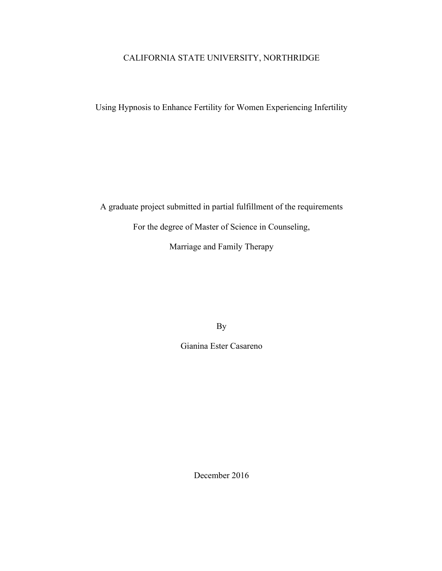# CALIFORNIA STATE UNIVERSITY, NORTHRIDGE

Using Hypnosis to Enhance Fertility for Women Experiencing Infertility

A graduate project submitted in partial fulfillment of the requirements

For the degree of Master of Science in Counseling,

Marriage and Family Therapy

By

Gianina Ester Casareno

December 2016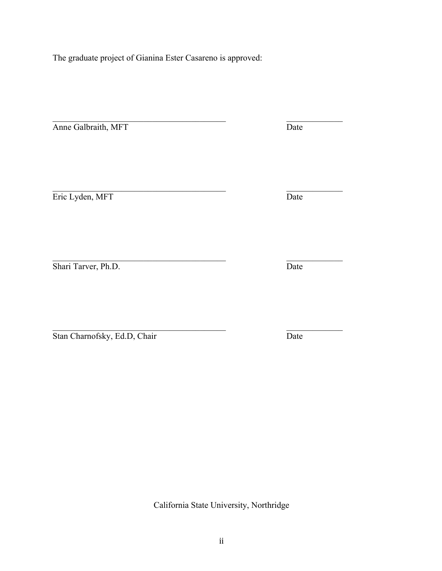$\mathcal{L}_\text{max}$  , and the contract of the contract of the contract of the contract of the contract of the contract of the contract of the contract of the contract of the contract of the contract of the contract of the contr

Shari Tarver, Ph.D. Date

Stan Charnofsky, Ed.D, Chair Date

California State University, Northridge

ii

The graduate project of Gianina Ester Casareno is approved:

**Eric Lyden, MFT** Date

 $\mathcal{L}_\text{max}$  , and the contract of the contract of the contract of the contract of the contract of the contract of the contract of the contract of the contract of the contract of the contract of the contract of the contr

 $\mathcal{L}_\text{max}$  , and the contract of the contract of the contract of the contract of the contract of the contract of the contract of the contract of the contract of the contract of the contract of the contract of the contr

 $\mathcal{L}_\text{max}$  , and the contract of the contract of the contract of the contract of the contract of the contract of the contract of the contract of the contract of the contract of the contract of the contract of the contr Anne Galbraith, MFT Date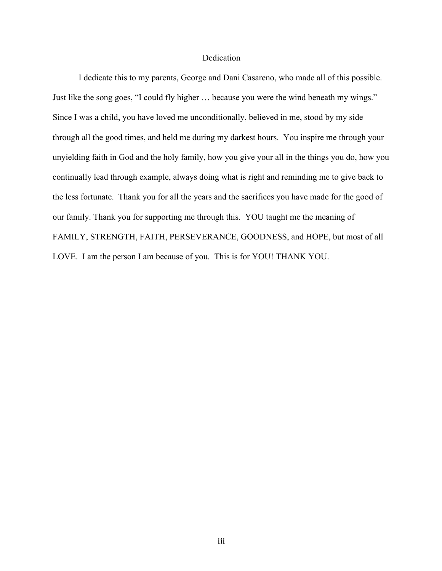# Dedication

I dedicate this to my parents, George and Dani Casareno, who made all of this possible. Just like the song goes, "I could fly higher … because you were the wind beneath my wings." Since I was a child, you have loved me unconditionally, believed in me, stood by my side through all the good times, and held me during my darkest hours. You inspire me through your unyielding faith in God and the holy family, how you give your all in the things you do, how you continually lead through example, always doing what is right and reminding me to give back to the less fortunate. Thank you for all the years and the sacrifices you have made for the good of our family. Thank you for supporting me through this. YOU taught me the meaning of FAMILY, STRENGTH, FAITH, PERSEVERANCE, GOODNESS, and HOPE, but most of all LOVE. I am the person I am because of you. This is for YOU! THANK YOU.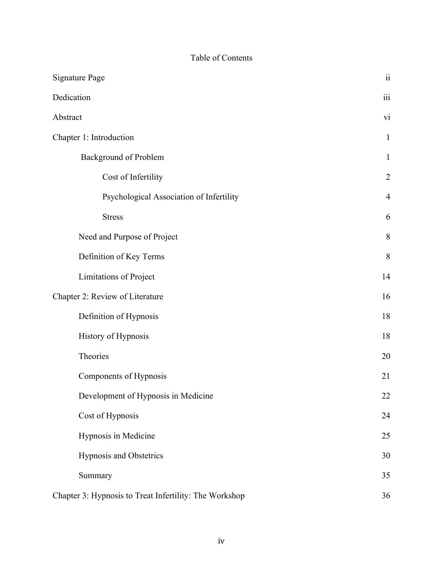# Table of Contents

| <b>Signature Page</b>                                  | $\ddot{\rm n}$          |
|--------------------------------------------------------|-------------------------|
| Dedication                                             | $\overline{\text{iii}}$ |
| Abstract                                               | vi                      |
| Chapter 1: Introduction                                | $\mathbf{1}$            |
| <b>Background of Problem</b>                           | $\mathbf{1}$            |
| Cost of Infertility                                    | $\overline{2}$          |
| Psychological Association of Infertility               | $\overline{4}$          |
| <b>Stress</b>                                          | 6                       |
| Need and Purpose of Project                            | 8                       |
| Definition of Key Terms                                | 8                       |
| Limitations of Project                                 | 14                      |
| Chapter 2: Review of Literature                        | 16                      |
| Definition of Hypnosis                                 | 18                      |
| History of Hypnosis                                    | 18                      |
| Theories                                               | 20                      |
| Components of Hypnosis                                 | 21                      |
| Development of Hypnosis in Medicine                    | 22                      |
| Cost of Hypnosis                                       | 24                      |
| Hypnosis in Medicine                                   | 25                      |
| Hypnosis and Obstetrics                                | 30                      |
| Summary                                                | 35                      |
| Chapter 3: Hypnosis to Treat Infertility: The Workshop | 36                      |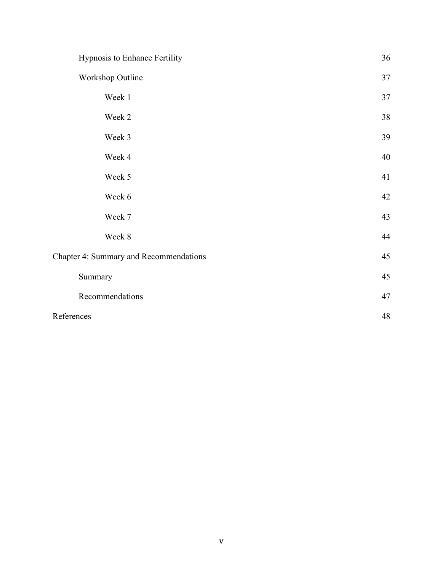| Hypnosis to Enhance Fertility          | 36 |
|----------------------------------------|----|
| Workshop Outline                       | 37 |
| Week 1                                 | 37 |
| Week 2                                 | 38 |
| Week 3                                 | 39 |
| Week 4                                 | 40 |
| Week 5                                 | 41 |
| Week 6                                 | 42 |
| Week 7                                 | 43 |
| Week 8                                 | 44 |
| Chapter 4: Summary and Recommendations | 45 |
| Summary                                | 45 |
| Recommendations                        | 47 |
| References                             | 48 |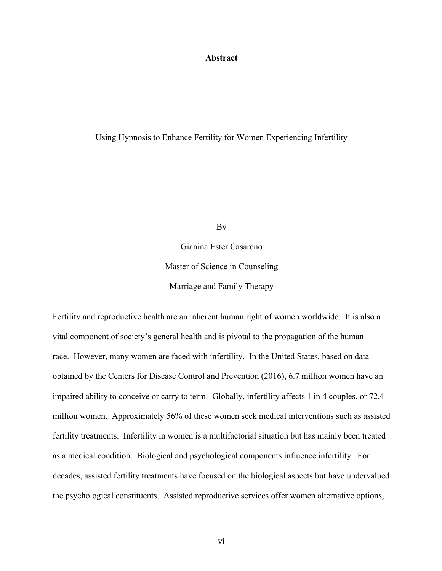# **Abstract**

#### Using Hypnosis to Enhance Fertility for Women Experiencing Infertility

By

Gianina Ester Casareno Master of Science in Counseling Marriage and Family Therapy

Fertility and reproductive health are an inherent human right of women worldwide. It is also a vital component of society's general health and is pivotal to the propagation of the human race. However, many women are faced with infertility. In the United States, based on data obtained by the Centers for Disease Control and Prevention (2016), 6.7 million women have an impaired ability to conceive or carry to term. Globally, infertility affects 1 in 4 couples, or 72.4 million women. Approximately 56% of these women seek medical interventions such as assisted fertility treatments. Infertility in women is a multifactorial situation but has mainly been treated as a medical condition. Biological and psychological components influence infertility. For decades, assisted fertility treatments have focused on the biological aspects but have undervalued the psychological constituents. Assisted reproductive services offer women alternative options,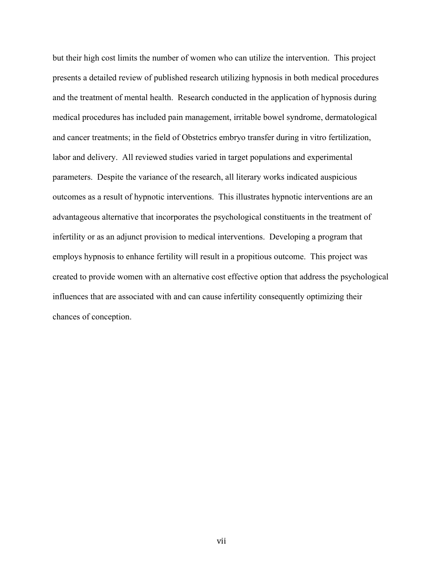but their high cost limits the number of women who can utilize the intervention. This project presents a detailed review of published research utilizing hypnosis in both medical procedures and the treatment of mental health. Research conducted in the application of hypnosis during medical procedures has included pain management, irritable bowel syndrome, dermatological and cancer treatments; in the field of Obstetrics embryo transfer during in vitro fertilization, labor and delivery. All reviewed studies varied in target populations and experimental parameters. Despite the variance of the research, all literary works indicated auspicious outcomes as a result of hypnotic interventions. This illustrates hypnotic interventions are an advantageous alternative that incorporates the psychological constituents in the treatment of infertility or as an adjunct provision to medical interventions. Developing a program that employs hypnosis to enhance fertility will result in a propitious outcome. This project was created to provide women with an alternative cost effective option that address the psychological influences that are associated with and can cause infertility consequently optimizing their chances of conception.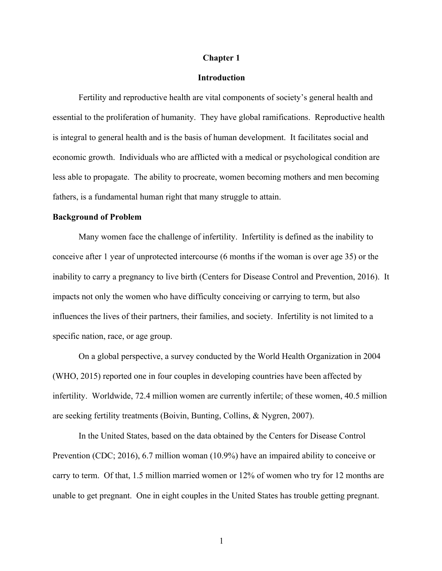#### **Chapter 1**

# **Introduction**

Fertility and reproductive health are vital components of society's general health and essential to the proliferation of humanity. They have global ramifications. Reproductive health is integral to general health and is the basis of human development. It facilitates social and economic growth. Individuals who are afflicted with a medical or psychological condition are less able to propagate. The ability to procreate, women becoming mothers and men becoming fathers, is a fundamental human right that many struggle to attain.

#### **Background of Problem**

Many women face the challenge of infertility. Infertility is defined as the inability to conceive after 1 year of unprotected intercourse (6 months if the woman is over age 35) or the inability to carry a pregnancy to live birth (Centers for Disease Control and Prevention, 2016). It impacts not only the women who have difficulty conceiving or carrying to term, but also influences the lives of their partners, their families, and society. Infertility is not limited to a specific nation, race, or age group.

On a global perspective, a survey conducted by the World Health Organization in 2004 (WHO, 2015) reported one in four couples in developing countries have been affected by infertility. Worldwide, 72.4 million women are currently infertile; of these women, 40.5 million are seeking fertility treatments (Boivin, Bunting, Collins, & Nygren, 2007).

In the United States, based on the data obtained by the Centers for Disease Control Prevention (CDC; 2016), 6.7 million woman (10.9%) have an impaired ability to conceive or carry to term. Of that, 1.5 million married women or 12% of women who try for 12 months are unable to get pregnant. One in eight couples in the United States has trouble getting pregnant.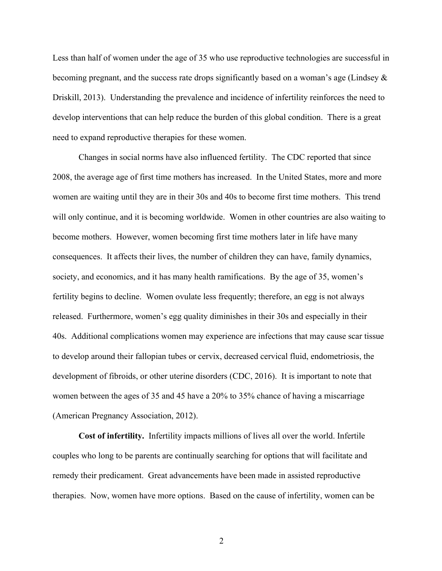Less than half of women under the age of 35 who use reproductive technologies are successful in becoming pregnant, and the success rate drops significantly based on a woman's age (Lindsey  $\&$ Driskill, 2013). Understanding the prevalence and incidence of infertility reinforces the need to develop interventions that can help reduce the burden of this global condition. There is a great need to expand reproductive therapies for these women.

Changes in social norms have also influenced fertility. The CDC reported that since 2008, the average age of first time mothers has increased. In the United States, more and more women are waiting until they are in their 30s and 40s to become first time mothers. This trend will only continue, and it is becoming worldwide. Women in other countries are also waiting to become mothers. However, women becoming first time mothers later in life have many consequences. It affects their lives, the number of children they can have, family dynamics, society, and economics, and it has many health ramifications. By the age of 35, women's fertility begins to decline. Women ovulate less frequently; therefore, an egg is not always released. Furthermore, women's egg quality diminishes in their 30s and especially in their 40s. Additional complications women may experience are infections that may cause scar tissue to develop around their fallopian tubes or cervix, decreased cervical fluid, endometriosis, the development of fibroids, or other uterine disorders (CDC, 2016). It is important to note that women between the ages of 35 and 45 have a 20% to 35% chance of having a miscarriage (American Pregnancy Association, 2012).

**Cost of infertility.** Infertility impacts millions of lives all over the world. Infertile couples who long to be parents are continually searching for options that will facilitate and remedy their predicament. Great advancements have been made in assisted reproductive therapies. Now, women have more options. Based on the cause of infertility, women can be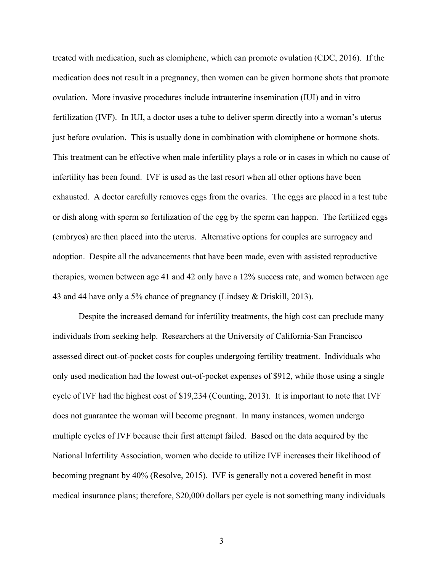treated with medication, such as clomiphene, which can promote ovulation (CDC, 2016). If the medication does not result in a pregnancy, then women can be given hormone shots that promote ovulation. More invasive procedures include intrauterine insemination (IUI) and in vitro fertilization (IVF). In IUI, a doctor uses a tube to deliver sperm directly into a woman's uterus just before ovulation. This is usually done in combination with clomiphene or hormone shots. This treatment can be effective when male infertility plays a role or in cases in which no cause of infertility has been found. IVF is used as the last resort when all other options have been exhausted. A doctor carefully removes eggs from the ovaries. The eggs are placed in a test tube or dish along with sperm so fertilization of the egg by the sperm can happen. The fertilized eggs (embryos) are then placed into the uterus. Alternative options for couples are surrogacy and adoption. Despite all the advancements that have been made, even with assisted reproductive therapies, women between age 41 and 42 only have a 12% success rate, and women between age 43 and 44 have only a 5% chance of pregnancy (Lindsey & Driskill, 2013).

Despite the increased demand for infertility treatments, the high cost can preclude many individuals from seeking help. Researchers at the University of California-San Francisco assessed direct out-of-pocket costs for couples undergoing fertility treatment. Individuals who only used medication had the lowest out-of-pocket expenses of \$912, while those using a single cycle of IVF had the highest cost of \$19,234 (Counting, 2013). It is important to note that IVF does not guarantee the woman will become pregnant. In many instances, women undergo multiple cycles of IVF because their first attempt failed. Based on the data acquired by the National Infertility Association, women who decide to utilize IVF increases their likelihood of becoming pregnant by 40% (Resolve, 2015). IVF is generally not a covered benefit in most medical insurance plans; therefore, \$20,000 dollars per cycle is not something many individuals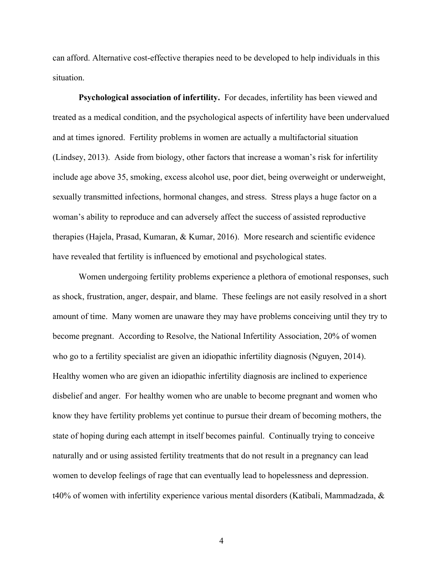can afford. Alternative cost-effective therapies need to be developed to help individuals in this situation.

**Psychological association of infertility.** For decades, infertility has been viewed and treated as a medical condition, and the psychological aspects of infertility have been undervalued and at times ignored. Fertility problems in women are actually a multifactorial situation (Lindsey, 2013). Aside from biology, other factors that increase a woman's risk for infertility include age above 35, smoking, excess alcohol use, poor diet, being overweight or underweight, sexually transmitted infections, hormonal changes, and stress. Stress plays a huge factor on a woman's ability to reproduce and can adversely affect the success of assisted reproductive therapies (Hajela, Prasad, Kumaran, & Kumar, 2016). More research and scientific evidence have revealed that fertility is influenced by emotional and psychological states.

Women undergoing fertility problems experience a plethora of emotional responses, such as shock, frustration, anger, despair, and blame. These feelings are not easily resolved in a short amount of time. Many women are unaware they may have problems conceiving until they try to become pregnant. According to Resolve, the National Infertility Association, 20% of women who go to a fertility specialist are given an idiopathic infertility diagnosis (Nguyen, 2014). Healthy women who are given an idiopathic infertility diagnosis are inclined to experience disbelief and anger. For healthy women who are unable to become pregnant and women who know they have fertility problems yet continue to pursue their dream of becoming mothers, the state of hoping during each attempt in itself becomes painful. Continually trying to conceive naturally and or using assisted fertility treatments that do not result in a pregnancy can lead women to develop feelings of rage that can eventually lead to hopelessness and depression. t40% of women with infertility experience various mental disorders (Katibali, Mammadzada, &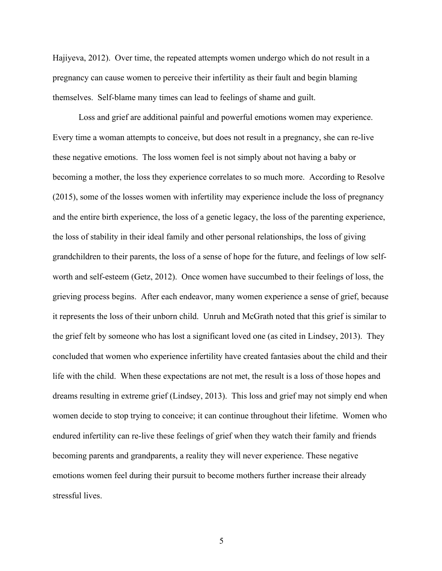Hajiyeva, 2012). Over time, the repeated attempts women undergo which do not result in a pregnancy can cause women to perceive their infertility as their fault and begin blaming themselves. Self-blame many times can lead to feelings of shame and guilt.

Loss and grief are additional painful and powerful emotions women may experience. Every time a woman attempts to conceive, but does not result in a pregnancy, she can re-live these negative emotions. The loss women feel is not simply about not having a baby or becoming a mother, the loss they experience correlates to so much more. According to Resolve (2015), some of the losses women with infertility may experience include the loss of pregnancy and the entire birth experience, the loss of a genetic legacy, the loss of the parenting experience, the loss of stability in their ideal family and other personal relationships, the loss of giving grandchildren to their parents, the loss of a sense of hope for the future, and feelings of low selfworth and self-esteem (Getz, 2012). Once women have succumbed to their feelings of loss, the grieving process begins. After each endeavor, many women experience a sense of grief, because it represents the loss of their unborn child. Unruh and McGrath noted that this grief is similar to the grief felt by someone who has lost a significant loved one (as cited in Lindsey, 2013). They concluded that women who experience infertility have created fantasies about the child and their life with the child. When these expectations are not met, the result is a loss of those hopes and dreams resulting in extreme grief (Lindsey, 2013). This loss and grief may not simply end when women decide to stop trying to conceive; it can continue throughout their lifetime. Women who endured infertility can re-live these feelings of grief when they watch their family and friends becoming parents and grandparents, a reality they will never experience. These negative emotions women feel during their pursuit to become mothers further increase their already stressful lives.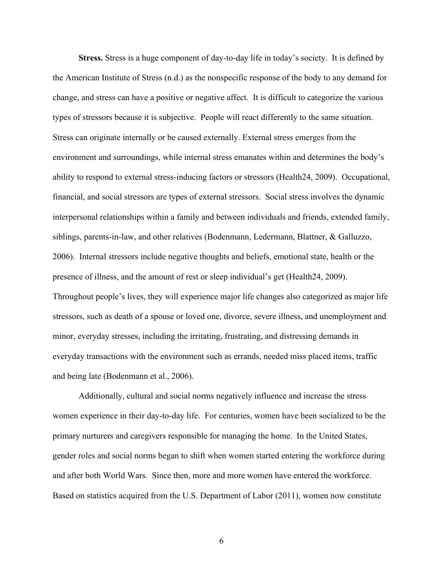**Stress.** Stress is a huge component of day-to-day life in today's society. It is defined by the American Institute of Stress (n.d.) as the nonspecific response of the body to any demand for change, and stress can have a positive or negative affect. It is difficult to categorize the various types of stressors because it is subjective. People will react differently to the same situation. Stress can originate internally or be caused externally. External stress emerges from the environment and surroundings, while internal stress emanates within and determines the body's ability to respond to external stress-inducing factors or stressors (Health24, 2009). Occupational, financial, and social stressors are types of external stressors. Social stress involves the dynamic interpersonal relationships within a family and between individuals and friends, extended family, siblings, parents-in-law, and other relatives (Bodenmann, Ledermann, Blattner, & Galluzzo, 2006). Internal stressors include negative thoughts and beliefs, emotional state, health or the presence of illness, and the amount of rest or sleep individual's get (Health24, 2009). Throughout people's lives, they will experience major life changes also categorized as major life stressors, such as death of a spouse or loved one, divorce, severe illness, and unemployment and minor, everyday stresses, including the irritating, frustrating, and distressing demands in everyday transactions with the environment such as errands, needed miss placed items, traffic and being late (Bodenmann et al., 2006).

Additionally, cultural and social norms negatively influence and increase the stress women experience in their day-to-day life. For centuries, women have been socialized to be the primary nurturers and caregivers responsible for managing the home. In the United States, gender roles and social norms began to shift when women started entering the workforce during and after both World Wars. Since then, more and more women have entered the workforce. Based on statistics acquired from the U.S. Department of Labor (2011), women now constitute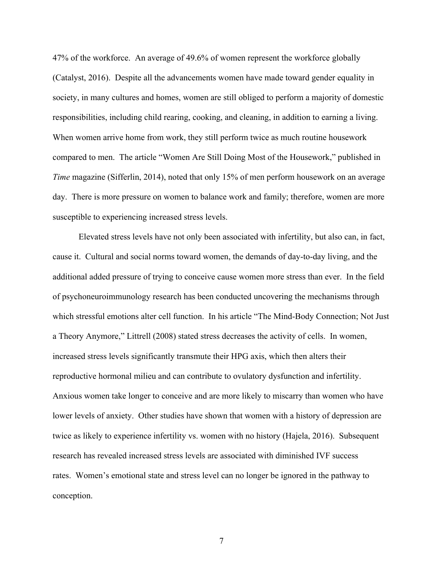47% of the workforce. An average of 49.6% of women represent the workforce globally (Catalyst, 2016). Despite all the advancements women have made toward gender equality in society, in many cultures and homes, women are still obliged to perform a majority of domestic responsibilities, including child rearing, cooking, and cleaning, in addition to earning a living. When women arrive home from work, they still perform twice as much routine housework compared to men. The article "Women Are Still Doing Most of the Housework," published in *Time* magazine (Sifferlin, 2014), noted that only 15% of men perform housework on an average day. There is more pressure on women to balance work and family; therefore, women are more susceptible to experiencing increased stress levels.

Elevated stress levels have not only been associated with infertility, but also can, in fact, cause it. Cultural and social norms toward women, the demands of day-to-day living, and the additional added pressure of trying to conceive cause women more stress than ever. In the field of psychoneuroimmunology research has been conducted uncovering the mechanisms through which stressful emotions alter cell function. In his article "The Mind-Body Connection; Not Just a Theory Anymore," Littrell (2008) stated stress decreases the activity of cells. In women, increased stress levels significantly transmute their HPG axis, which then alters their reproductive hormonal milieu and can contribute to ovulatory dysfunction and infertility. Anxious women take longer to conceive and are more likely to miscarry than women who have lower levels of anxiety. Other studies have shown that women with a history of depression are twice as likely to experience infertility vs. women with no history (Hajela, 2016). Subsequent research has revealed increased stress levels are associated with diminished IVF success rates. Women's emotional state and stress level can no longer be ignored in the pathway to conception.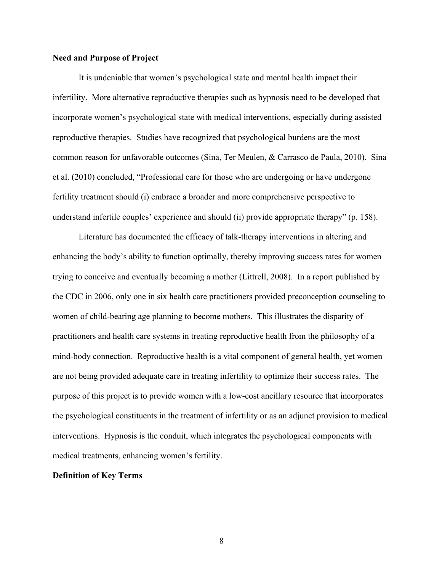## **Need and Purpose of Project**

It is undeniable that women's psychological state and mental health impact their infertility. More alternative reproductive therapies such as hypnosis need to be developed that incorporate women's psychological state with medical interventions, especially during assisted reproductive therapies. Studies have recognized that psychological burdens are the most common reason for unfavorable outcomes (Sina, Ter Meulen, & Carrasco de Paula, 2010). Sina et al. (2010) concluded, "Professional care for those who are undergoing or have undergone fertility treatment should (i) embrace a broader and more comprehensive perspective to understand infertile couples' experience and should (ii) provide appropriate therapy" (p. 158).

Literature has documented the efficacy of talk-therapy interventions in altering and enhancing the body's ability to function optimally, thereby improving success rates for women trying to conceive and eventually becoming a mother (Littrell, 2008). In a report published by the CDC in 2006, only one in six health care practitioners provided preconception counseling to women of child-bearing age planning to become mothers. This illustrates the disparity of practitioners and health care systems in treating reproductive health from the philosophy of a mind-body connection. Reproductive health is a vital component of general health, yet women are not being provided adequate care in treating infertility to optimize their success rates. The purpose of this project is to provide women with a low-cost ancillary resource that incorporates the psychological constituents in the treatment of infertility or as an adjunct provision to medical interventions. Hypnosis is the conduit, which integrates the psychological components with medical treatments, enhancing women's fertility.

# **Definition of Key Terms**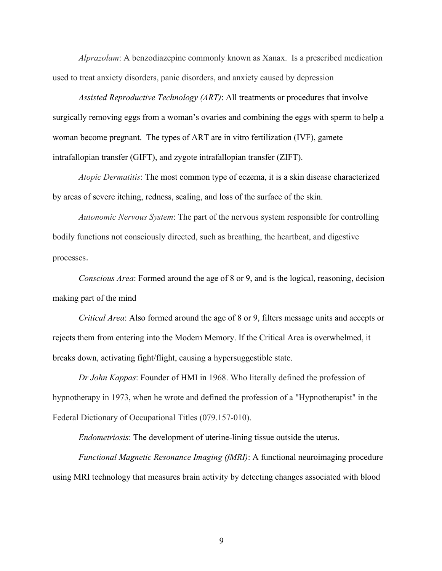*Alprazolam*: A benzodiazepine commonly known as Xanax. Is a prescribed medication used to treat anxiety disorders, panic disorders, and anxiety caused by depression

*Assisted Reproductive Technology (ART)*: All treatments or procedures that involve surgically removing eggs from a woman's ovaries and combining the eggs with sperm to help a woman become pregnant. The types of ART are in vitro fertilization (IVF), gamete intrafallopian transfer (GIFT), and zygote intrafallopian transfer (ZIFT).

*Atopic Dermatitis*: The most common type of eczema, it is a skin disease characterized by areas of severe itching, redness, scaling, and loss of the surface of the skin.

*Autonomic Nervous System*: The part of the nervous system responsible for controlling bodily functions not consciously directed, such as breathing, the heartbeat, and digestive processes.

*Conscious Area*: Formed around the age of 8 or 9, and is the logical, reasoning, decision making part of the mind

*Critical Area*: Also formed around the age of 8 or 9, filters message units and accepts or rejects them from entering into the Modern Memory. If the Critical Area is overwhelmed, it breaks down, activating fight/flight, causing a hypersuggestible state.

*Dr John Kappas*: Founder of HMI in 1968. Who literally defined the profession of hypnotherapy in 1973, when he wrote and defined the profession of a "Hypnotherapist" in the Federal Dictionary of Occupational Titles (079.157-010).

*Endometriosis*: The development of uterine-lining tissue outside the uterus.

*Functional Magnetic Resonance Imaging (fMRI)*: A functional neuroimaging procedure using MRI technology that measures brain activity by detecting changes associated with blood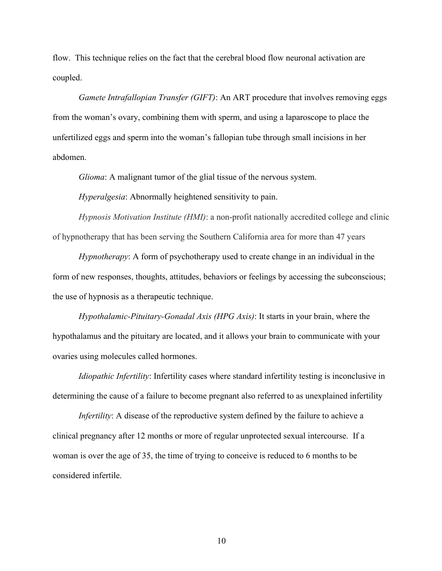flow. This technique relies on the fact that the cerebral blood flow neuronal activation are coupled.

*Gamete Intrafallopian Transfer (GIFT)*: An ART procedure that involves removing eggs from the woman's ovary, combining them with sperm, and using a laparoscope to place the unfertilized eggs and sperm into the woman's fallopian tube through small incisions in her abdomen.

*Glioma*: A malignant tumor of the glial tissue of the nervous system.

*Hyperalgesia*: Abnormally heightened sensitivity to pain.

*Hypnosis Motivation Institute (HMI)*: a non-profit nationally accredited college and clinic of hypnotherapy that has been serving the Southern California area for more than 47 years

*Hypnotherapy*: A form of psychotherapy used to create change in an individual in the form of new responses, thoughts, attitudes, behaviors or feelings by accessing the subconscious; the use of hypnosis as a therapeutic technique.

*Hypothalamic-Pituitary-Gonadal Axis (HPG Axis)*: It starts in your brain, where the hypothalamus and the pituitary are located, and it allows your brain to communicate with your ovaries using molecules called hormones.

*Idiopathic Infertility*: Infertility cases where standard infertility testing is inconclusive in determining the cause of a failure to become pregnant also referred to as unexplained infertility

*Infertility*: A disease of the reproductive system defined by the failure to achieve a clinical pregnancy after 12 months or more of regular unprotected sexual intercourse. If a woman is over the age of 35, the time of trying to conceive is reduced to 6 months to be considered infertile.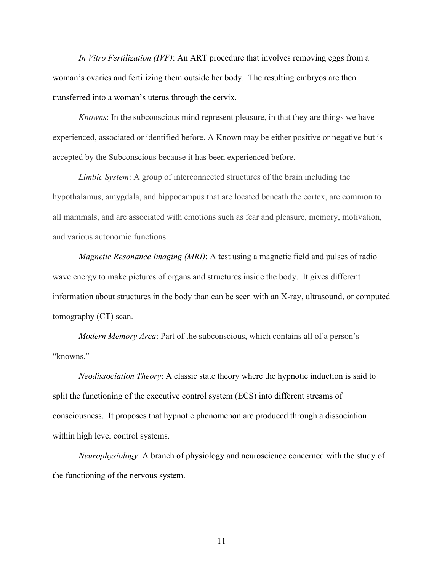*In Vitro Fertilization (IVF)*: An ART procedure that involves removing eggs from a woman's ovaries and fertilizing them outside her body. The resulting embryos are then transferred into a woman's uterus through the cervix.

*Knowns*: In the subconscious mind represent pleasure, in that they are things we have experienced, associated or identified before. A Known may be either positive or negative but is accepted by the Subconscious because it has been experienced before.

*Limbic System*: A group of interconnected structures of the brain including the hypothalamus, amygdala, and hippocampus that are located beneath the cortex, are common to all mammals, and are associated with emotions such as fear and pleasure, memory, motivation, and various autonomic functions.

*Magnetic Resonance Imaging (MRI)*: A test using a magnetic field and pulses of radio wave energy to make pictures of organs and structures inside the body. It gives different information about structures in the body than can be seen with an X-ray, ultrasound, or computed tomography (CT) scan.

*Modern Memory Area*: Part of the subconscious, which contains all of a person's "knowns."

*Neodissociation Theory*: A classic state theory where the hypnotic induction is said to split the functioning of the executive control system (ECS) into different streams of consciousness. It proposes that hypnotic phenomenon are produced through a dissociation within high level control systems.

*Neurophysiology*: A branch of physiology and neuroscience concerned with the study of the functioning of the nervous system.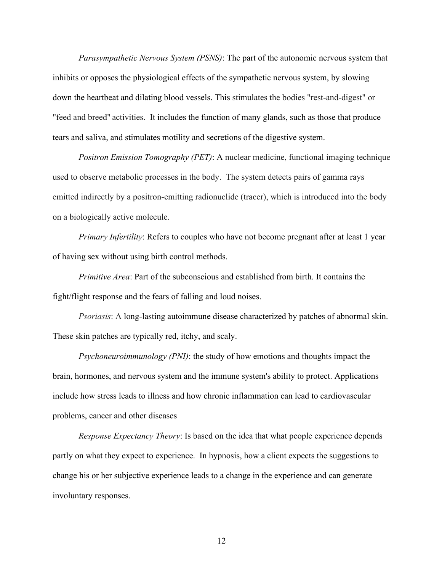*Parasympathetic Nervous System (PSNS)*: The part of the autonomic nervous system that inhibits or opposes the physiological effects of the sympathetic nervous system, by slowing down the heartbeat and dilating blood vessels. This stimulates the bodies "rest-and-digest" or "feed and breed" activities. It includes the function of many glands, such as those that produce tears and saliva, and stimulates motility and secretions of the digestive system.

*Positron Emission Tomography (PET)*: A nuclear medicine, functional imaging technique used to observe metabolic processes in the body. The system detects pairs of gamma rays emitted indirectly by a positron-emitting radionuclide (tracer), which is introduced into the body on a biologically active molecule.

*Primary Infertility*: Refers to couples who have not become pregnant after at least 1 year of having sex without using birth control methods.

*Primitive Area*: Part of the subconscious and established from birth. It contains the fight/flight response and the fears of falling and loud noises.

*Psoriasis*: A long-lasting autoimmune disease characterized by patches of abnormal skin. These skin patches are typically red, itchy, and scaly.

*Psychoneuroimmunology (PNI)*: the study of how emotions and thoughts impact the brain, hormones, and nervous system and the immune system's ability to protect. Applications include how stress leads to illness and how chronic inflammation can lead to cardiovascular problems, cancer and other diseases

*Response Expectancy Theory*: Is based on the idea that what people experience depends partly on what they expect to experience. In hypnosis, how a client expects the suggestions to change his or her subjective experience leads to a change in the experience and can generate involuntary responses.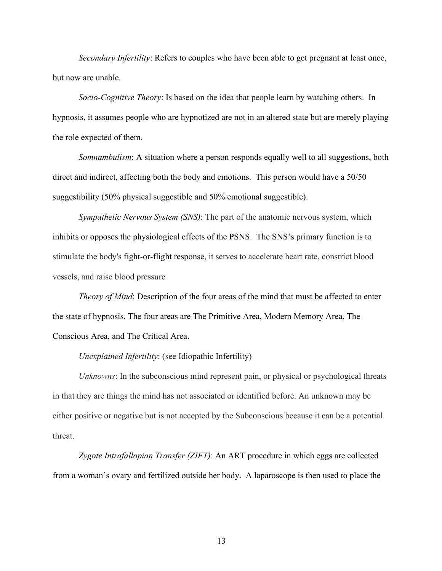*Secondary Infertility*: Refers to couples who have been able to get pregnant at least once, but now are unable.

*Socio-Cognitive Theory*: Is based on the idea that people learn by watching others. In hypnosis, it assumes people who are hypnotized are not in an altered state but are merely playing the role expected of them.

*Somnambulism*: A situation where a person responds equally well to all suggestions, both direct and indirect, affecting both the body and emotions. This person would have a 50/50 suggestibility (50% physical suggestible and 50% emotional suggestible).

*Sympathetic Nervous System (SNS)*: The part of the anatomic nervous system, which inhibits or opposes the physiological effects of the PSNS. The SNS's primary function is to stimulate the body's fight-or-flight response, it serves to accelerate heart rate, constrict blood vessels, and raise blood pressure

*Theory of Mind*: Description of the four areas of the mind that must be affected to enter the state of hypnosis. The four areas are The Primitive Area, Modern Memory Area, The Conscious Area, and The Critical Area.

*Unexplained Infertility*: (see Idiopathic Infertility)

*Unknowns*: In the subconscious mind represent pain, or physical or psychological threats in that they are things the mind has not associated or identified before. An unknown may be either positive or negative but is not accepted by the Subconscious because it can be a potential threat.

*Zygote Intrafallopian Transfer (ZIFT)*: An ART procedure in which eggs are collected from a woman's ovary and fertilized outside her body. A laparoscope is then used to place the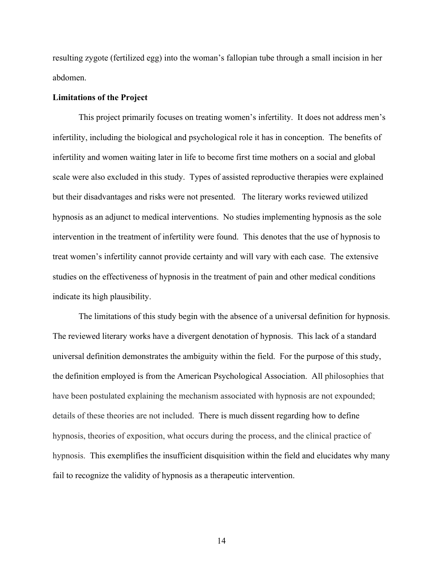resulting zygote (fertilized egg) into the woman's fallopian tube through a small incision in her abdomen.

#### **Limitations of the Project**

This project primarily focuses on treating women's infertility. It does not address men's infertility, including the biological and psychological role it has in conception. The benefits of infertility and women waiting later in life to become first time mothers on a social and global scale were also excluded in this study. Types of assisted reproductive therapies were explained but their disadvantages and risks were not presented. The literary works reviewed utilized hypnosis as an adjunct to medical interventions. No studies implementing hypnosis as the sole intervention in the treatment of infertility were found. This denotes that the use of hypnosis to treat women's infertility cannot provide certainty and will vary with each case. The extensive studies on the effectiveness of hypnosis in the treatment of pain and other medical conditions indicate its high plausibility.

The limitations of this study begin with the absence of a universal definition for hypnosis. The reviewed literary works have a divergent denotation of hypnosis. This lack of a standard universal definition demonstrates the ambiguity within the field. For the purpose of this study, the definition employed is from the American Psychological Association. All philosophies that have been postulated explaining the mechanism associated with hypnosis are not expounded; details of these theories are not included. There is much dissent regarding how to define hypnosis, theories of exposition, what occurs during the process, and the clinical practice of hypnosis. This exemplifies the insufficient disquisition within the field and elucidates why many fail to recognize the validity of hypnosis as a therapeutic intervention.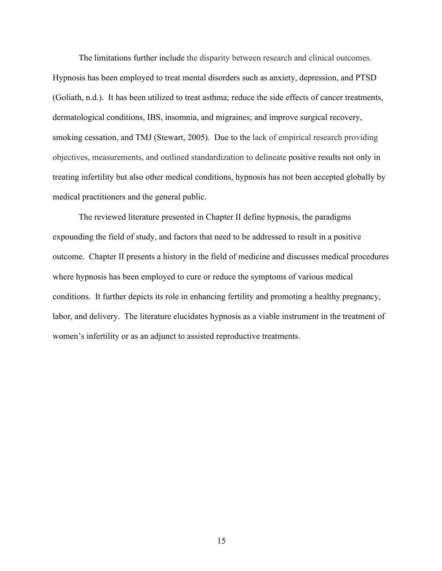The limitations further include the disparity between research and clinical outcomes. Hypnosis has been employed to treat mental disorders such as anxiety, depression, and PTSD (Goliath, n.d.). It has been utilized to treat asthma; reduce the side effects of cancer treatments, dermatological conditions, IBS, insomnia, and migraines; and improve surgical recovery, smoking cessation, and TMJ (Stewart, 2005). Due to the lack of empirical research providing objectives, measurements, and outlined standardization to delineate positive results not only in treating infertility but also other medical conditions, hypnosis has not been accepted globally by medical practitioners and the general public.

The reviewed literature presented in Chapter II define hypnosis, the paradigms expounding the field of study, and factors that need to be addressed to result in a positive outcome. Chapter II presents a history in the field of medicine and discusses medical procedures where hypnosis has been employed to cure or reduce the symptoms of various medical conditions. It further depicts its role in enhancing fertility and promoting a healthy pregnancy, labor, and delivery. The literature elucidates hypnosis as a viable instrument in the treatment of women's infertility or as an adjunct to assisted reproductive treatments.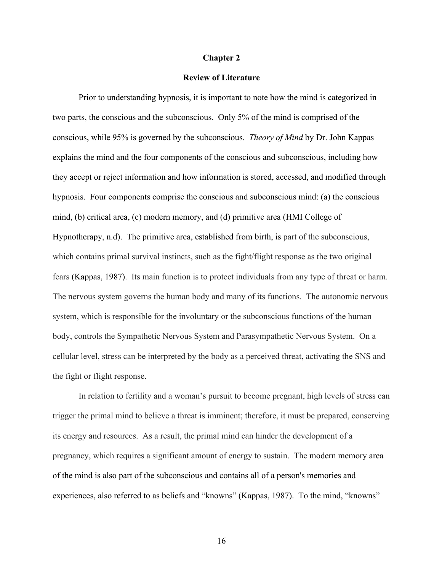#### **Chapter 2**

#### **Review of Literature**

Prior to understanding hypnosis, it is important to note how the mind is categorized in two parts, the conscious and the subconscious. Only 5% of the mind is comprised of the conscious, while 95% is governed by the subconscious. *Theory of Mind* by Dr. John Kappas explains the mind and the four components of the conscious and subconscious, including how they accept or reject information and how information is stored, accessed, and modified through hypnosis. Four components comprise the conscious and subconscious mind: (a) the conscious mind, (b) critical area, (c) modern memory, and (d) primitive area (HMI College of Hypnotherapy, n.d). The primitive area, established from birth, is part of the subconscious, which contains primal survival instincts, such as the fight/flight response as the two original fears (Kappas, 1987). Its main function is to protect individuals from any type of threat or harm. The nervous system governs the human body and many of its functions. The autonomic nervous system, which is responsible for the involuntary or the subconscious functions of the human body, controls the Sympathetic Nervous System and Parasympathetic Nervous System. On a cellular level, stress can be interpreted by the body as a perceived threat, activating the SNS and the fight or flight response.

In relation to fertility and a woman's pursuit to become pregnant, high levels of stress can trigger the primal mind to believe a threat is imminent; therefore, it must be prepared, conserving its energy and resources. As a result, the primal mind can hinder the development of a pregnancy, which requires a significant amount of energy to sustain. The modern memory area of the mind is also part of the subconscious and contains all of a person's memories and experiences, also referred to as beliefs and "knowns" (Kappas, 1987). To the mind, "knowns"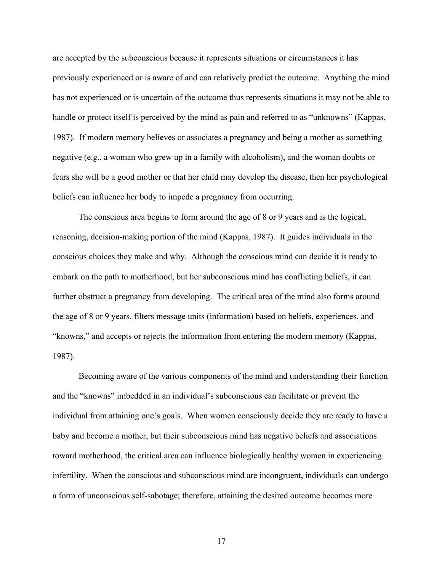are accepted by the subconscious because it represents situations or circumstances it has previously experienced or is aware of and can relatively predict the outcome. Anything the mind has not experienced or is uncertain of the outcome thus represents situations it may not be able to handle or protect itself is perceived by the mind as pain and referred to as "unknowns" (Kappas, 1987). If modern memory believes or associates a pregnancy and being a mother as something negative (e.g., a woman who grew up in a family with alcoholism), and the woman doubts or fears she will be a good mother or that her child may develop the disease, then her psychological beliefs can influence her body to impede a pregnancy from occurring.

The conscious area begins to form around the age of 8 or 9 years and is the logical, reasoning, decision-making portion of the mind (Kappas, 1987). It guides individuals in the conscious choices they make and why. Although the conscious mind can decide it is ready to embark on the path to motherhood, but her subconscious mind has conflicting beliefs, it can further obstruct a pregnancy from developing. The critical area of the mind also forms around the age of 8 or 9 years, filters message units (information) based on beliefs, experiences, and "knowns," and accepts or rejects the information from entering the modern memory (Kappas, 1987).

Becoming aware of the various components of the mind and understanding their function and the "knowns" imbedded in an individual's subconscious can facilitate or prevent the individual from attaining one's goals. When women consciously decide they are ready to have a baby and become a mother, but their subconscious mind has negative beliefs and associations toward motherhood, the critical area can influence biologically healthy women in experiencing infertility. When the conscious and subconscious mind are incongruent, individuals can undergo a form of unconscious self-sabotage; therefore, attaining the desired outcome becomes more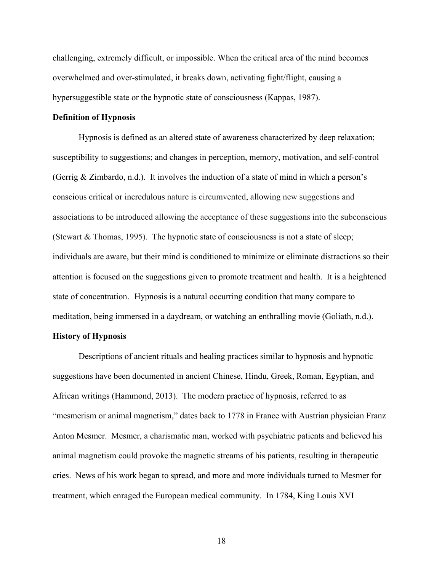challenging, extremely difficult, or impossible. When the critical area of the mind becomes overwhelmed and over-stimulated, it breaks down, activating fight/flight, causing a hypersuggestible state or the hypnotic state of consciousness (Kappas, 1987).

### **Definition of Hypnosis**

Hypnosis is defined as an altered state of awareness characterized by deep relaxation; susceptibility to suggestions; and changes in perception, memory, motivation, and self-control (Gerrig & Zimbardo, n.d.). It involves the induction of a state of mind in which a person's conscious critical or incredulous nature is circumvented, allowing new suggestions and associations to be introduced allowing the acceptance of these suggestions into the subconscious (Stewart & Thomas, 1995). The hypnotic state of consciousness is not a state of sleep; individuals are aware, but their mind is conditioned to minimize or eliminate distractions so their attention is focused on the suggestions given to promote treatment and health. It is a heightened state of concentration. Hypnosis is a natural occurring condition that many compare to meditation, being immersed in a daydream, or watching an enthralling movie (Goliath, n.d.).

# **History of Hypnosis**

Descriptions of ancient rituals and healing practices similar to hypnosis and hypnotic suggestions have been documented in ancient Chinese, Hindu, Greek, Roman, Egyptian, and African writings (Hammond, 2013). The modern practice of hypnosis, referred to as "mesmerism or animal magnetism," dates back to 1778 in France with Austrian physician Franz Anton Mesmer. Mesmer, a charismatic man, worked with psychiatric patients and believed his animal magnetism could provoke the magnetic streams of his patients, resulting in therapeutic cries. News of his work began to spread, and more and more individuals turned to Mesmer for treatment, which enraged the European medical community. In 1784, King Louis XVI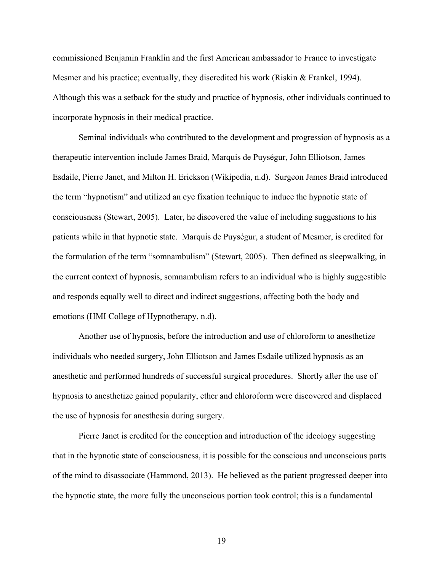commissioned Benjamin Franklin and the first American ambassador to France to investigate Mesmer and his practice; eventually, they discredited his work (Riskin & Frankel, 1994). Although this was a setback for the study and practice of hypnosis, other individuals continued to incorporate hypnosis in their medical practice.

Seminal individuals who contributed to the development and progression of hypnosis as a therapeutic intervention include James Braid, Marquis de Puységur, John Elliotson, James Esdaile, Pierre Janet, and Milton H. Erickson (Wikipedia, n.d). Surgeon James Braid introduced the term "hypnotism" and utilized an eye fixation technique to induce the hypnotic state of consciousness (Stewart, 2005). Later, he discovered the value of including suggestions to his patients while in that hypnotic state. Marquis de Puységur, a student of Mesmer, is credited for the formulation of the term "somnambulism" (Stewart, 2005). Then defined as sleepwalking, in the current context of hypnosis, somnambulism refers to an individual who is highly suggestible and responds equally well to direct and indirect suggestions, affecting both the body and emotions (HMI College of Hypnotherapy, n.d).

Another use of hypnosis, before the introduction and use of chloroform to anesthetize individuals who needed surgery, John Elliotson and James Esdaile utilized hypnosis as an anesthetic and performed hundreds of successful surgical procedures. Shortly after the use of hypnosis to anesthetize gained popularity, ether and chloroform were discovered and displaced the use of hypnosis for anesthesia during surgery.

Pierre Janet is credited for the conception and introduction of the ideology suggesting that in the hypnotic state of consciousness, it is possible for the conscious and unconscious parts of the mind to disassociate (Hammond, 2013). He believed as the patient progressed deeper into the hypnotic state, the more fully the unconscious portion took control; this is a fundamental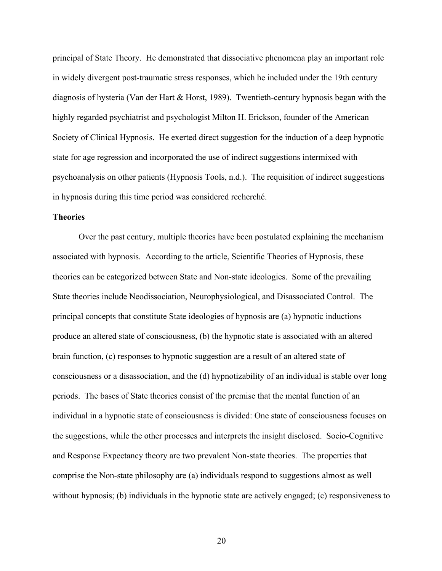principal of State Theory. He demonstrated that dissociative phenomena play an important role in widely divergent post-traumatic stress responses, which he included under the 19th century diagnosis of hysteria (Van der Hart & Horst, 1989). Twentieth-century hypnosis began with the highly regarded psychiatrist and psychologist Milton H. Erickson, founder of the American Society of Clinical Hypnosis. He exerted direct suggestion for the induction of a deep hypnotic state for age regression and incorporated the use of indirect suggestions intermixed with psychoanalysis on other patients (Hypnosis Tools, n.d.). The requisition of indirect suggestions in hypnosis during this time period was considered recherché.

### **Theories**

Over the past century, multiple theories have been postulated explaining the mechanism associated with hypnosis. According to the article, Scientific Theories of Hypnosis, these theories can be categorized between State and Non-state ideologies. Some of the prevailing State theories include Neodissociation, Neurophysiological, and Disassociated Control. The principal concepts that constitute State ideologies of hypnosis are (a) hypnotic inductions produce an altered state of consciousness, (b) the hypnotic state is associated with an altered brain function, (c) responses to hypnotic suggestion are a result of an altered state of consciousness or a disassociation, and the (d) hypnotizability of an individual is stable over long periods. The bases of State theories consist of the premise that the mental function of an individual in a hypnotic state of consciousness is divided: One state of consciousness focuses on the suggestions, while the other processes and interprets the insight disclosed. Socio-Cognitive and Response Expectancy theory are two prevalent Non-state theories. The properties that comprise the Non-state philosophy are (a) individuals respond to suggestions almost as well without hypnosis; (b) individuals in the hypnotic state are actively engaged; (c) responsiveness to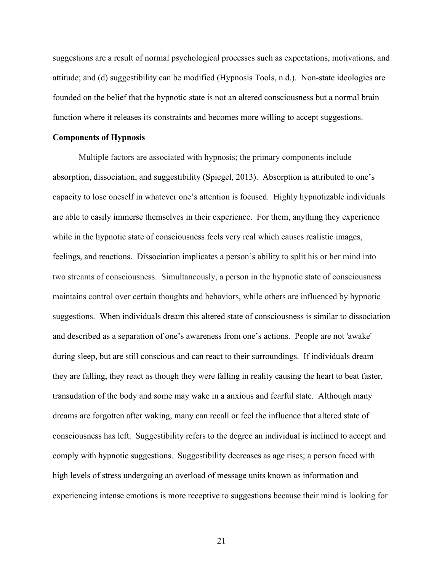suggestions are a result of normal psychological processes such as expectations, motivations, and attitude; and (d) suggestibility can be modified (Hypnosis Tools, n.d.). Non-state ideologies are founded on the belief that the hypnotic state is not an altered consciousness but a normal brain function where it releases its constraints and becomes more willing to accept suggestions.

#### **Components of Hypnosis**

Multiple factors are associated with hypnosis; the primary components include absorption, dissociation, and suggestibility (Spiegel, 2013). Absorption is attributed to one's capacity to lose oneself in whatever one's attention is focused. Highly hypnotizable individuals are able to easily immerse themselves in their experience. For them, anything they experience while in the hypnotic state of consciousness feels very real which causes realistic images, feelings, and reactions. Dissociation implicates a person's ability to split his or her mind into two streams of consciousness. Simultaneously, a person in the hypnotic state of consciousness maintains control over certain thoughts and behaviors, while others are influenced by hypnotic suggestions. When individuals dream this altered state of consciousness is similar to dissociation and described as a separation of one's awareness from one's actions. People are not 'awake' during sleep, but are still conscious and can react to their surroundings. If individuals dream they are falling, they react as though they were falling in reality causing the heart to beat faster, transudation of the body and some may wake in a anxious and fearful state. Although many dreams are forgotten after waking, many can recall or feel the influence that altered state of consciousness has left. Suggestibility refers to the degree an individual is inclined to accept and comply with hypnotic suggestions. Suggestibility decreases as age rises; a person faced with high levels of stress undergoing an overload of message units known as information and experiencing intense emotions is more receptive to suggestions because their mind is looking for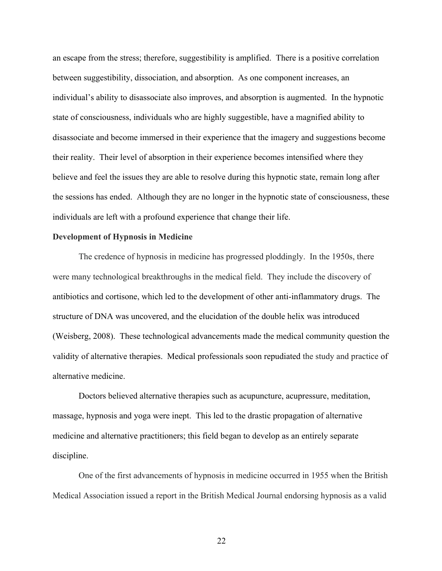an escape from the stress; therefore, suggestibility is amplified. There is a positive correlation between suggestibility, dissociation, and absorption. As one component increases, an individual's ability to disassociate also improves, and absorption is augmented. In the hypnotic state of consciousness, individuals who are highly suggestible, have a magnified ability to disassociate and become immersed in their experience that the imagery and suggestions become their reality. Their level of absorption in their experience becomes intensified where they believe and feel the issues they are able to resolve during this hypnotic state, remain long after the sessions has ended. Although they are no longer in the hypnotic state of consciousness, these individuals are left with a profound experience that change their life.

# **Development of Hypnosis in Medicine**

The credence of hypnosis in medicine has progressed ploddingly. In the 1950s, there were many technological breakthroughs in the medical field. They include the discovery of antibiotics and cortisone, which led to the development of other anti-inflammatory drugs. The structure of DNA was uncovered, and the elucidation of the double helix was introduced (Weisberg, 2008). These technological advancements made the medical community question the validity of alternative therapies. Medical professionals soon repudiated the study and practice of alternative medicine.

Doctors believed alternative therapies such as acupuncture, acupressure, meditation, massage, hypnosis and yoga were inept. This led to the drastic propagation of alternative medicine and alternative practitioners; this field began to develop as an entirely separate discipline.

One of the first advancements of hypnosis in medicine occurred in 1955 when the British Medical Association issued a report in the British Medical Journal endorsing hypnosis as a valid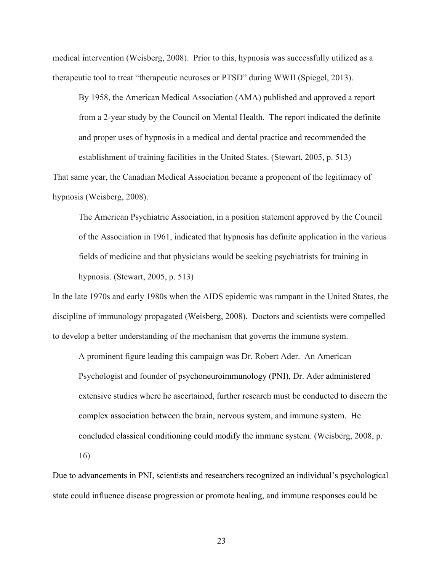medical intervention (Weisberg, 2008). Prior to this, hypnosis was successfully utilized as a therapeutic tool to treat "therapeutic neuroses or PTSD" during WWII (Spiegel, 2013).

By 1958, the American Medical Association (AMA) published and approved a report from a 2-year study by the Council on Mental Health. The report indicated the definite and proper uses of hypnosis in a medical and dental practice and recommended the establishment of training facilities in the United States. (Stewart, 2005, p. 513)

That same year, the Canadian Medical Association became a proponent of the legitimacy of hypnosis (Weisberg, 2008).

The American Psychiatric Association, in a position statement approved by the Council of the Association in 1961, indicated that hypnosis has definite application in the various fields of medicine and that physicians would be seeking psychiatrists for training in hypnosis. (Stewart, 2005, p. 513)

In the late 1970s and early 1980s when the AIDS epidemic was rampant in the United States, the discipline of immunology propagated (Weisberg, 2008). Doctors and scientists were compelled to develop a better understanding of the mechanism that governs the immune system.

A prominent figure leading this campaign was Dr. Robert Ader. An American Psychologist and founder of psychoneuroimmunology (PNI), Dr. Ader administered extensive studies where he ascertained, further research must be conducted to discern the complex association between the brain, nervous system, and immune system. He concluded classical conditioning could modify the immune system. (Weisberg, 2008, p.

16)

Due to advancements in PNI, scientists and researchers recognized an individual's psychological state could influence disease progression or promote healing, and immune responses could be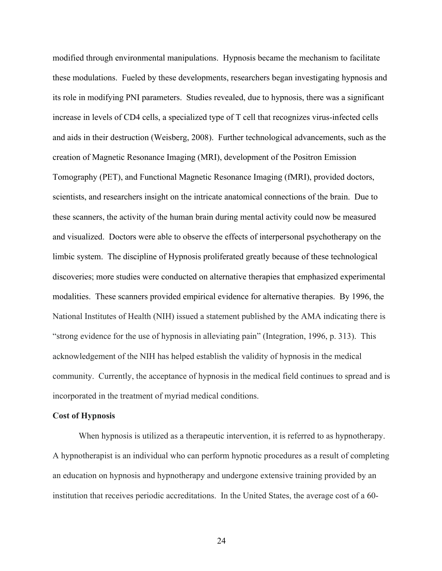modified through environmental manipulations. Hypnosis became the mechanism to facilitate these modulations. Fueled by these developments, researchers began investigating hypnosis and its role in modifying PNI parameters. Studies revealed, due to hypnosis, there was a significant increase in levels of CD4 cells, a specialized type of T cell that recognizes virus-infected cells and aids in their destruction (Weisberg, 2008). Further technological advancements, such as the creation of Magnetic Resonance Imaging (MRI), development of the Positron Emission Tomography (PET), and Functional Magnetic Resonance Imaging (fMRI), provided doctors, scientists, and researchers insight on the intricate anatomical connections of the brain. Due to these scanners, the activity of the human brain during mental activity could now be measured and visualized. Doctors were able to observe the effects of interpersonal psychotherapy on the limbic system. The discipline of Hypnosis proliferated greatly because of these technological discoveries; more studies were conducted on alternative therapies that emphasized experimental modalities. These scanners provided empirical evidence for alternative therapies. By 1996, the National Institutes of Health (NIH) issued a statement published by the AMA indicating there is "strong evidence for the use of hypnosis in alleviating pain" (Integration, 1996, p. 313). This acknowledgement of the NIH has helped establish the validity of hypnosis in the medical community. Currently, the acceptance of hypnosis in the medical field continues to spread and is incorporated in the treatment of myriad medical conditions.

# **Cost of Hypnosis**

When hypnosis is utilized as a therapeutic intervention, it is referred to as hypnotherapy. A hypnotherapist is an individual who can perform hypnotic procedures as a result of completing an education on hypnosis and hypnotherapy and undergone extensive training provided by an institution that receives periodic accreditations. In the United States, the average cost of a 60-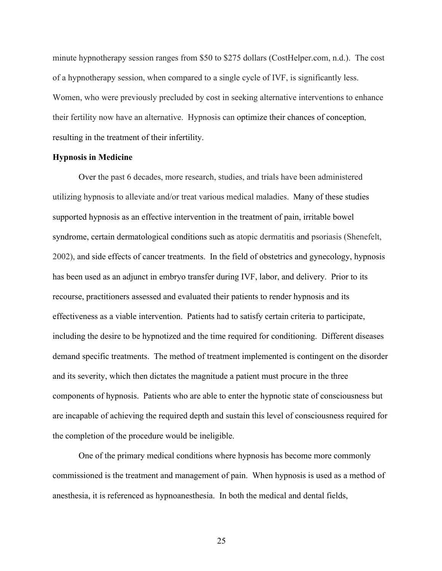minute hypnotherapy session ranges from \$50 to \$275 dollars (CostHelper.com, n.d.). The cost of a hypnotherapy session, when compared to a single cycle of IVF, is significantly less. Women, who were previously precluded by cost in seeking alternative interventions to enhance their fertility now have an alternative. Hypnosis can optimize their chances of conception, resulting in the treatment of their infertility.

### **Hypnosis in Medicine**

Over the past 6 decades, more research, studies, and trials have been administered utilizing hypnosis to alleviate and/or treat various medical maladies. Many of these studies supported hypnosis as an effective intervention in the treatment of pain, irritable bowel syndrome, certain dermatological conditions such as atopic dermatitis and psoriasis (Shenefelt, 2002), and side effects of cancer treatments. In the field of obstetrics and gynecology, hypnosis has been used as an adjunct in embryo transfer during IVF, labor, and delivery. Prior to its recourse, practitioners assessed and evaluated their patients to render hypnosis and its effectiveness as a viable intervention. Patients had to satisfy certain criteria to participate, including the desire to be hypnotized and the time required for conditioning. Different diseases demand specific treatments. The method of treatment implemented is contingent on the disorder and its severity, which then dictates the magnitude a patient must procure in the three components of hypnosis. Patients who are able to enter the hypnotic state of consciousness but are incapable of achieving the required depth and sustain this level of consciousness required for the completion of the procedure would be ineligible.

One of the primary medical conditions where hypnosis has become more commonly commissioned is the treatment and management of pain. When hypnosis is used as a method of anesthesia, it is referenced as hypnoanesthesia. In both the medical and dental fields,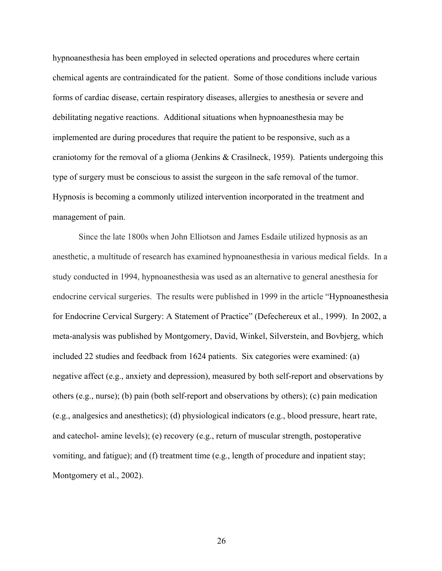hypnoanesthesia has been employed in selected operations and procedures where certain chemical agents are contraindicated for the patient. Some of those conditions include various forms of cardiac disease, certain respiratory diseases, allergies to anesthesia or severe and debilitating negative reactions. Additional situations when hypnoanesthesia may be implemented are during procedures that require the patient to be responsive, such as a craniotomy for the removal of a glioma (Jenkins & Crasilneck, 1959). Patients undergoing this type of surgery must be conscious to assist the surgeon in the safe removal of the tumor. Hypnosis is becoming a commonly utilized intervention incorporated in the treatment and management of pain.

Since the late 1800s when John Elliotson and James Esdaile utilized hypnosis as an anesthetic, a multitude of research has examined hypnoanesthesia in various medical fields. In a study conducted in 1994, hypnoanesthesia was used as an alternative to general anesthesia for endocrine cervical surgeries. The results were published in 1999 in the article "Hypnoanesthesia for Endocrine Cervical Surgery: A Statement of Practice" (Defechereux et al., 1999). In 2002, a meta-analysis was published by Montgomery, David, Winkel, Silverstein, and Bovbjerg, which included 22 studies and feedback from 1624 patients. Six categories were examined: (a) negative affect (e.g., anxiety and depression), measured by both self-report and observations by others (e.g., nurse); (b) pain (both self-report and observations by others); (c) pain medication (e.g., analgesics and anesthetics); (d) physiological indicators (e.g., blood pressure, heart rate, and catechol- amine levels); (e) recovery (e.g., return of muscular strength, postoperative vomiting, and fatigue); and (f) treatment time (e.g., length of procedure and inpatient stay; Montgomery et al., 2002).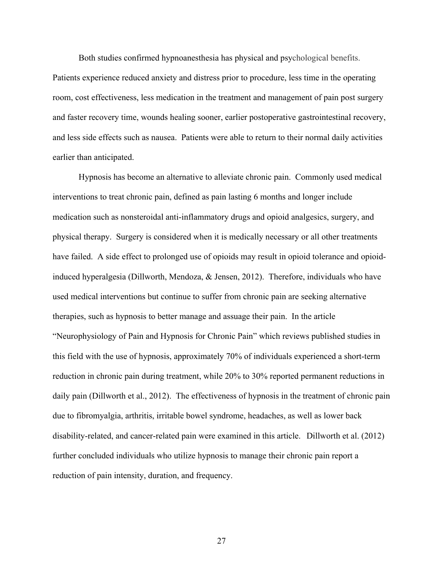Both studies confirmed hypnoanesthesia has physical and psychological benefits.

Patients experience reduced anxiety and distress prior to procedure, less time in the operating room, cost effectiveness, less medication in the treatment and management of pain post surgery and faster recovery time, wounds healing sooner, earlier postoperative gastrointestinal recovery, and less side effects such as nausea. Patients were able to return to their normal daily activities earlier than anticipated.

Hypnosis has become an alternative to alleviate chronic pain. Commonly used medical interventions to treat chronic pain, defined as pain lasting 6 months and longer include medication such as nonsteroidal anti-inflammatory drugs and opioid analgesics, surgery, and physical therapy. Surgery is considered when it is medically necessary or all other treatments have failed. A side effect to prolonged use of opioids may result in opioid tolerance and opioidinduced hyperalgesia (Dillworth, Mendoza, & Jensen, 2012). Therefore, individuals who have used medical interventions but continue to suffer from chronic pain are seeking alternative therapies, such as hypnosis to better manage and assuage their pain. In the article "Neurophysiology of Pain and Hypnosis for Chronic Pain" which reviews published studies in this field with the use of hypnosis, approximately 70% of individuals experienced a short-term reduction in chronic pain during treatment, while 20% to 30% reported permanent reductions in daily pain (Dillworth et al., 2012). The effectiveness of hypnosis in the treatment of chronic pain due to fibromyalgia, arthritis, irritable bowel syndrome, headaches, as well as lower back disability-related, and cancer-related pain were examined in this article. Dillworth et al. (2012) further concluded individuals who utilize hypnosis to manage their chronic pain report a reduction of pain intensity, duration, and frequency.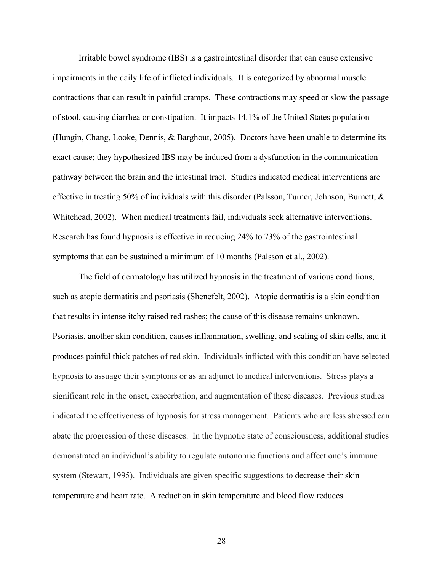Irritable bowel syndrome (IBS) is a gastrointestinal disorder that can cause extensive impairments in the daily life of inflicted individuals. It is categorized by abnormal muscle contractions that can result in painful cramps. These contractions may speed or slow the passage of stool, causing diarrhea or constipation. It impacts 14.1% of the United States population (Hungin, Chang, Looke, Dennis, & Barghout, 2005). Doctors have been unable to determine its exact cause; they hypothesized IBS may be induced from a dysfunction in the communication pathway between the brain and the intestinal tract. Studies indicated medical interventions are effective in treating 50% of individuals with this disorder (Palsson, Turner, Johnson, Burnett,  $\&$ Whitehead, 2002). When medical treatments fail, individuals seek alternative interventions. Research has found hypnosis is effective in reducing 24% to 73% of the gastrointestinal symptoms that can be sustained a minimum of 10 months (Palsson et al., 2002).

The field of dermatology has utilized hypnosis in the treatment of various conditions, such as atopic dermatitis and psoriasis (Shenefelt, 2002). Atopic dermatitis is a skin condition that results in intense itchy raised red rashes; the cause of this disease remains unknown. Psoriasis, another skin condition, causes inflammation, swelling, and scaling of skin cells, and it produces painful thick patches of red skin. Individuals inflicted with this condition have selected hypnosis to assuage their symptoms or as an adjunct to medical interventions. Stress plays a significant role in the onset, exacerbation, and augmentation of these diseases. Previous studies indicated the effectiveness of hypnosis for stress management. Patients who are less stressed can abate the progression of these diseases. In the hypnotic state of consciousness, additional studies demonstrated an individual's ability to regulate autonomic functions and affect one's immune system (Stewart, 1995). Individuals are given specific suggestions to decrease their skin temperature and heart rate. A reduction in skin temperature and blood flow reduces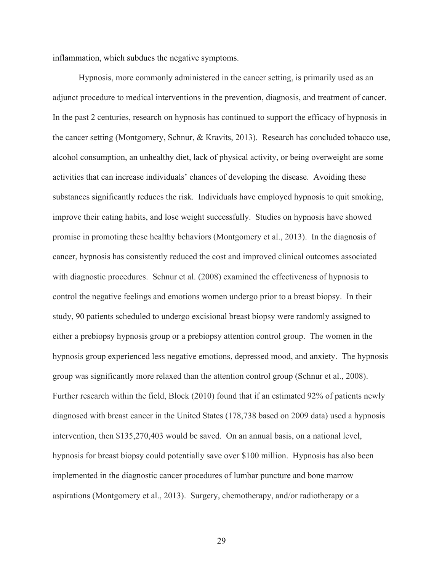inflammation, which subdues the negative symptoms.

Hypnosis, more commonly administered in the cancer setting, is primarily used as an adjunct procedure to medical interventions in the prevention, diagnosis, and treatment of cancer. In the past 2 centuries, research on hypnosis has continued to support the efficacy of hypnosis in the cancer setting (Montgomery, Schnur, & Kravits, 2013). Research has concluded tobacco use, alcohol consumption, an unhealthy diet, lack of physical activity, or being overweight are some activities that can increase individuals' chances of developing the disease. Avoiding these substances significantly reduces the risk. Individuals have employed hypnosis to quit smoking, improve their eating habits, and lose weight successfully. Studies on hypnosis have showed promise in promoting these healthy behaviors (Montgomery et al., 2013). In the diagnosis of cancer, hypnosis has consistently reduced the cost and improved clinical outcomes associated with diagnostic procedures. Schnur et al. (2008) examined the effectiveness of hypnosis to control the negative feelings and emotions women undergo prior to a breast biopsy. In their study, 90 patients scheduled to undergo excisional breast biopsy were randomly assigned to either a prebiopsy hypnosis group or a prebiopsy attention control group. The women in the hypnosis group experienced less negative emotions, depressed mood, and anxiety. The hypnosis group was significantly more relaxed than the attention control group (Schnur et al., 2008). Further research within the field, Block (2010) found that if an estimated 92% of patients newly diagnosed with breast cancer in the United States (178,738 based on 2009 data) used a hypnosis intervention, then \$135,270,403 would be saved. On an annual basis, on a national level, hypnosis for breast biopsy could potentially save over \$100 million. Hypnosis has also been implemented in the diagnostic cancer procedures of lumbar puncture and bone marrow aspirations (Montgomery et al., 2013). Surgery, chemotherapy, and/or radiotherapy or a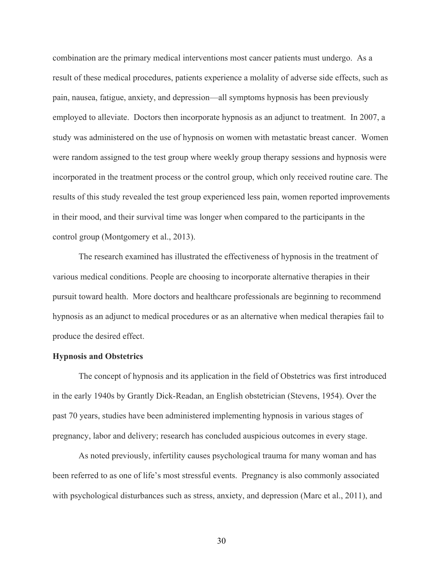combination are the primary medical interventions most cancer patients must undergo. As a result of these medical procedures, patients experience a molality of adverse side effects, such as pain, nausea, fatigue, anxiety, and depression—all symptoms hypnosis has been previously employed to alleviate. Doctors then incorporate hypnosis as an adjunct to treatment. In 2007, a study was administered on the use of hypnosis on women with metastatic breast cancer. Women were random assigned to the test group where weekly group therapy sessions and hypnosis were incorporated in the treatment process or the control group, which only received routine care. The results of this study revealed the test group experienced less pain, women reported improvements in their mood, and their survival time was longer when compared to the participants in the control group (Montgomery et al., 2013).

The research examined has illustrated the effectiveness of hypnosis in the treatment of various medical conditions. People are choosing to incorporate alternative therapies in their pursuit toward health. More doctors and healthcare professionals are beginning to recommend hypnosis as an adjunct to medical procedures or as an alternative when medical therapies fail to produce the desired effect.

# **Hypnosis and Obstetrics**

The concept of hypnosis and its application in the field of Obstetrics was first introduced in the early 1940s by Grantly Dick-Readan, an English obstetrician (Stevens, 1954). Over the past 70 years, studies have been administered implementing hypnosis in various stages of pregnancy, labor and delivery; research has concluded auspicious outcomes in every stage.

As noted previously, infertility causes psychological trauma for many woman and has been referred to as one of life's most stressful events. Pregnancy is also commonly associated with psychological disturbances such as stress, anxiety, and depression (Marc et al., 2011), and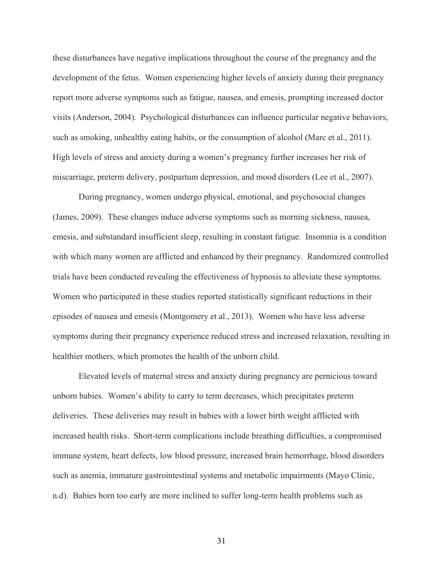these disturbances have negative implications throughout the course of the pregnancy and the development of the fetus. Women experiencing higher levels of anxiety during their pregnancy report more adverse symptoms such as fatigue, nausea, and emesis, prompting increased doctor visits (Anderson, 2004). Psychological disturbances can influence particular negative behaviors, such as smoking, unhealthy eating habits, or the consumption of alcohol (Marc et al., 2011). High levels of stress and anxiety during a women's pregnancy further increases her risk of miscarriage, preterm delivery, postpartum depression, and mood disorders (Lee et al., 2007).

During pregnancy, women undergo physical, emotional, and psychosocial changes (James, 2009). These changes induce adverse symptoms such as morning sickness, nausea, emesis, and substandard insufficient sleep, resulting in constant fatigue. Insomnia is a condition with which many women are afflicted and enhanced by their pregnancy. Randomized controlled trials have been conducted revealing the effectiveness of hypnosis to alleviate these symptoms. Women who participated in these studies reported statistically significant reductions in their episodes of nausea and emesis (Montgomery et al., 2013). Women who have less adverse symptoms during their pregnancy experience reduced stress and increased relaxation, resulting in healthier mothers, which promotes the health of the unborn child.

Elevated levels of maternal stress and anxiety during pregnancy are pernicious toward unborn babies. Women's ability to carry to term decreases, which precipitates preterm deliveries. These deliveries may result in babies with a lower birth weight afflicted with increased health risks. Short-term complications include breathing difficulties, a compromised immune system, heart defects, low blood pressure, increased brain hemorrhage, blood disorders such as anemia, immature gastrointestinal systems and metabolic impairments (Mayo Clinic, n.d). Babies born too early are more inclined to suffer long-term health problems such as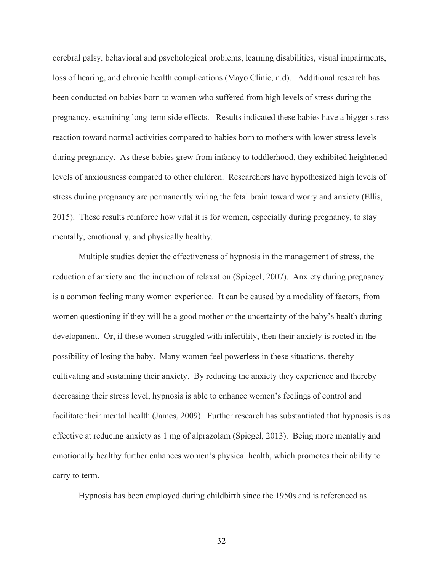cerebral palsy, behavioral and psychological problems, learning disabilities, visual impairments, loss of hearing, and chronic health complications (Mayo Clinic, n.d). Additional research has been conducted on babies born to women who suffered from high levels of stress during the pregnancy, examining long-term side effects. Results indicated these babies have a bigger stress reaction toward normal activities compared to babies born to mothers with lower stress levels during pregnancy. As these babies grew from infancy to toddlerhood, they exhibited heightened levels of anxiousness compared to other children. Researchers have hypothesized high levels of stress during pregnancy are permanently wiring the fetal brain toward worry and anxiety (Ellis, 2015). These results reinforce how vital it is for women, especially during pregnancy, to stay mentally, emotionally, and physically healthy.

Multiple studies depict the effectiveness of hypnosis in the management of stress, the reduction of anxiety and the induction of relaxation (Spiegel, 2007). Anxiety during pregnancy is a common feeling many women experience. It can be caused by a modality of factors, from women questioning if they will be a good mother or the uncertainty of the baby's health during development. Or, if these women struggled with infertility, then their anxiety is rooted in the possibility of losing the baby. Many women feel powerless in these situations, thereby cultivating and sustaining their anxiety. By reducing the anxiety they experience and thereby decreasing their stress level, hypnosis is able to enhance women's feelings of control and facilitate their mental health (James, 2009). Further research has substantiated that hypnosis is as effective at reducing anxiety as 1 mg of alprazolam (Spiegel, 2013). Being more mentally and emotionally healthy further enhances women's physical health, which promotes their ability to carry to term.

Hypnosis has been employed during childbirth since the 1950s and is referenced as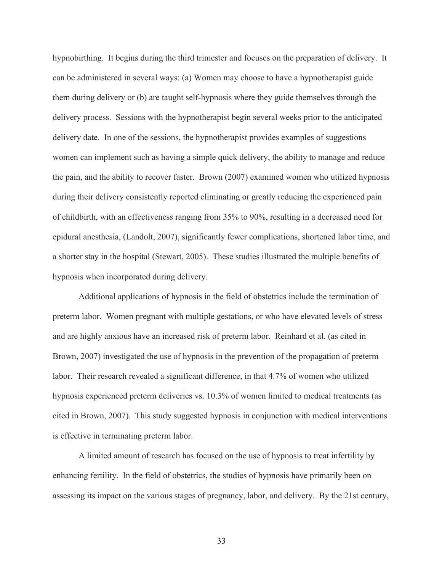hypnobirthing. It begins during the third trimester and focuses on the preparation of delivery. It can be administered in several ways: (a) Women may choose to have a hypnotherapist guide them during delivery or (b) are taught self-hypnosis where they guide themselves through the delivery process. Sessions with the hypnotherapist begin several weeks prior to the anticipated delivery date. In one of the sessions, the hypnotherapist provides examples of suggestions women can implement such as having a simple quick delivery, the ability to manage and reduce the pain, and the ability to recover faster. Brown (2007) examined women who utilized hypnosis during their delivery consistently reported eliminating or greatly reducing the experienced pain of childbirth, with an effectiveness ranging from 35% to 90%, resulting in a decreased need for epidural anesthesia, (Landolt, 2007), significantly fewer complications, shortened labor time, and a shorter stay in the hospital (Stewart, 2005). These studies illustrated the multiple benefits of hypnosis when incorporated during delivery.

Additional applications of hypnosis in the field of obstetrics include the termination of preterm labor. Women pregnant with multiple gestations, or who have elevated levels of stress and are highly anxious have an increased risk of preterm labor. Reinhard et al. (as cited in Brown, 2007) investigated the use of hypnosis in the prevention of the propagation of preterm labor. Their research revealed a significant difference, in that 4.7% of women who utilized hypnosis experienced preterm deliveries vs. 10.3% of women limited to medical treatments (as cited in Brown, 2007). This study suggested hypnosis in conjunction with medical interventions is effective in terminating preterm labor.

A limited amount of research has focused on the use of hypnosis to treat infertility by enhancing fertility. In the field of obstetrics, the studies of hypnosis have primarily been on assessing its impact on the various stages of pregnancy, labor, and delivery. By the 21st century,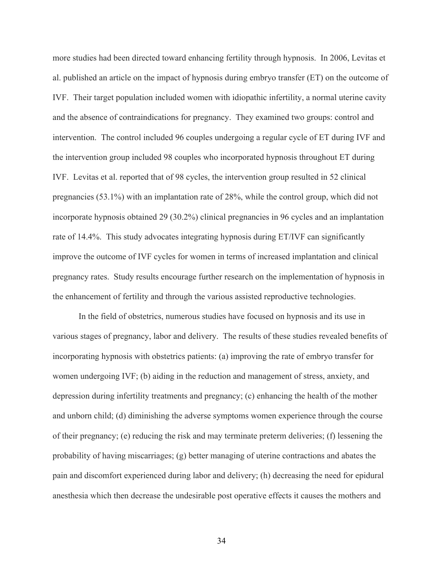more studies had been directed toward enhancing fertility through hypnosis. In 2006, Levitas et al. published an article on the impact of hypnosis during embryo transfer (ET) on the outcome of IVF. Their target population included women with idiopathic infertility, a normal uterine cavity and the absence of contraindications for pregnancy. They examined two groups: control and intervention. The control included 96 couples undergoing a regular cycle of ET during IVF and the intervention group included 98 couples who incorporated hypnosis throughout ET during IVF. Levitas et al. reported that of 98 cycles, the intervention group resulted in 52 clinical pregnancies (53.1%) with an implantation rate of 28%, while the control group, which did not incorporate hypnosis obtained 29 (30.2%) clinical pregnancies in 96 cycles and an implantation rate of 14.4%. This study advocates integrating hypnosis during ET/IVF can significantly improve the outcome of IVF cycles for women in terms of increased implantation and clinical pregnancy rates. Study results encourage further research on the implementation of hypnosis in the enhancement of fertility and through the various assisted reproductive technologies.

In the field of obstetrics, numerous studies have focused on hypnosis and its use in various stages of pregnancy, labor and delivery. The results of these studies revealed benefits of incorporating hypnosis with obstetrics patients: (a) improving the rate of embryo transfer for women undergoing IVF; (b) aiding in the reduction and management of stress, anxiety, and depression during infertility treatments and pregnancy; (c) enhancing the health of the mother and unborn child; (d) diminishing the adverse symptoms women experience through the course of their pregnancy; (e) reducing the risk and may terminate preterm deliveries; (f) lessening the probability of having miscarriages; (g) better managing of uterine contractions and abates the pain and discomfort experienced during labor and delivery; (h) decreasing the need for epidural anesthesia which then decrease the undesirable post operative effects it causes the mothers and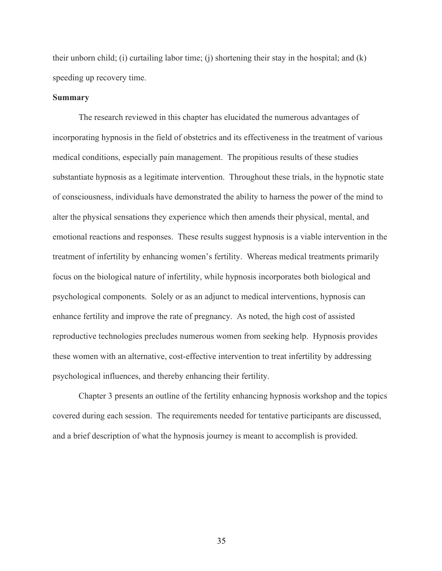their unborn child; (i) curtailing labor time; (j) shortening their stay in the hospital; and (k) speeding up recovery time.

### **Summary**

The research reviewed in this chapter has elucidated the numerous advantages of incorporating hypnosis in the field of obstetrics and its effectiveness in the treatment of various medical conditions, especially pain management. The propitious results of these studies substantiate hypnosis as a legitimate intervention. Throughout these trials, in the hypnotic state of consciousness, individuals have demonstrated the ability to harness the power of the mind to alter the physical sensations they experience which then amends their physical, mental, and emotional reactions and responses. These results suggest hypnosis is a viable intervention in the treatment of infertility by enhancing women's fertility. Whereas medical treatments primarily focus on the biological nature of infertility, while hypnosis incorporates both biological and psychological components. Solely or as an adjunct to medical interventions, hypnosis can enhance fertility and improve the rate of pregnancy. As noted, the high cost of assisted reproductive technologies precludes numerous women from seeking help. Hypnosis provides these women with an alternative, cost-effective intervention to treat infertility by addressing psychological influences, and thereby enhancing their fertility.

Chapter 3 presents an outline of the fertility enhancing hypnosis workshop and the topics covered during each session. The requirements needed for tentative participants are discussed, and a brief description of what the hypnosis journey is meant to accomplish is provided.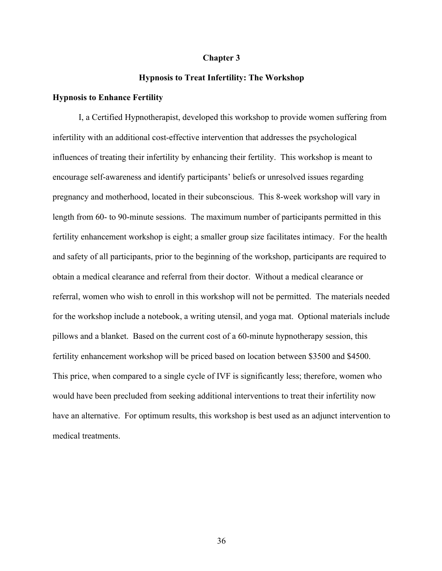#### **Chapter 3**

#### **Hypnosis to Treat Infertility: The Workshop**

#### **Hypnosis to Enhance Fertility**

I, a Certified Hypnotherapist, developed this workshop to provide women suffering from infertility with an additional cost-effective intervention that addresses the psychological influences of treating their infertility by enhancing their fertility. This workshop is meant to encourage self-awareness and identify participants' beliefs or unresolved issues regarding pregnancy and motherhood, located in their subconscious.This 8-week workshop will vary in length from 60- to 90-minute sessions. The maximum number of participants permitted in this fertility enhancement workshop is eight; a smaller group size facilitates intimacy. For the health and safety of all participants, prior to the beginning of the workshop, participants are required to obtain a medical clearance and referral from their doctor. Without a medical clearance or referral, women who wish to enroll in this workshop will not be permitted. The materials needed for the workshop include a notebook, a writing utensil, and yoga mat. Optional materials include pillows and a blanket. Based on the current cost of a 60-minute hypnotherapy session, this fertility enhancement workshop will be priced based on location between \$3500 and \$4500. This price, when compared to a single cycle of IVF is significantly less; therefore, women who would have been precluded from seeking additional interventions to treat their infertility now have an alternative. For optimum results, this workshop is best used as an adjunct intervention to medical treatments.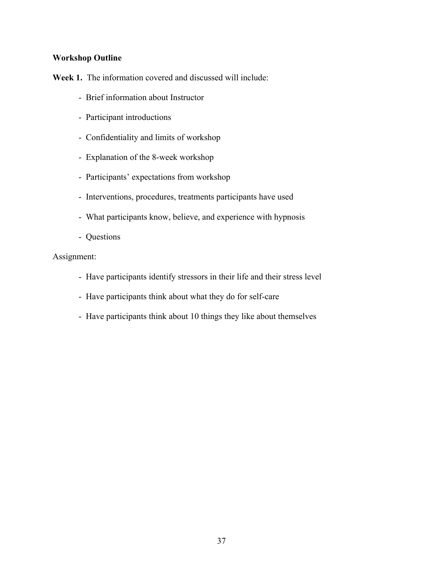# **Workshop Outline**

Week 1. The information covered and discussed will include:

- Brief information about Instructor
- Participant introductions
- Confidentiality and limits of workshop
- Explanation of the 8-week workshop
- Participants' expectations from workshop
- Interventions, procedures, treatments participants have used
- What participants know, believe, and experience with hypnosis
- Questions

- Have participants identify stressors in their life and their stress level
- Have participants think about what they do for self-care
- Have participants think about 10 things they like about themselves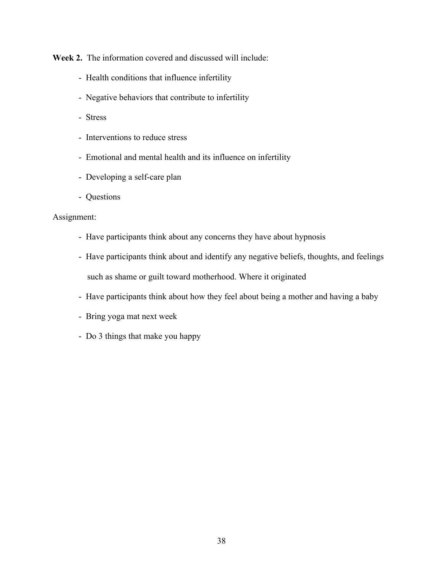**Week 2.** The information covered and discussed will include:

- Health conditions that influence infertility
- Negative behaviors that contribute to infertility
- Stress
- Interventions to reduce stress
- Emotional and mental health and its influence on infertility
- Developing a self-care plan
- Questions

- Have participants think about any concerns they have about hypnosis
- Have participants think about and identify any negative beliefs, thoughts, and feelings such as shame or guilt toward motherhood. Where it originated
- Have participants think about how they feel about being a mother and having a baby
- Bring yoga mat next week
- Do 3 things that make you happy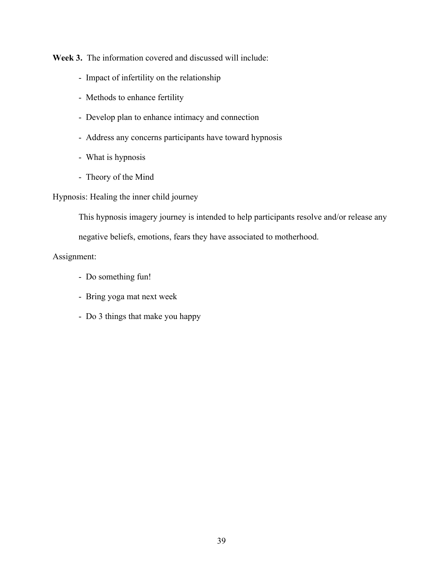**Week 3.** The information covered and discussed will include:

- Impact of infertility on the relationship
- Methods to enhance fertility
- Develop plan to enhance intimacy and connection
- Address any concerns participants have toward hypnosis
- What is hypnosis
- Theory of the Mind

# Hypnosis: Healing the inner child journey

This hypnosis imagery journey is intended to help participants resolve and/or release any

negative beliefs, emotions, fears they have associated to motherhood.

- Do something fun!
- Bring yoga mat next week
- Do 3 things that make you happy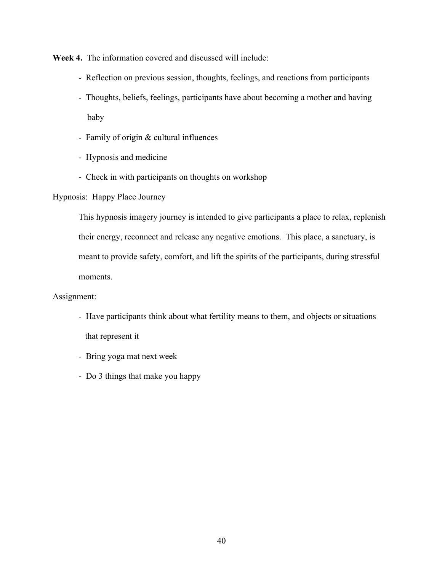**Week 4.** The information covered and discussed will include:

- Reflection on previous session, thoughts, feelings, and reactions from participants
- Thoughts, beliefs, feelings, participants have about becoming a mother and having baby
- Family of origin & cultural influences
- Hypnosis and medicine
- Check in with participants on thoughts on workshop

Hypnosis: Happy Place Journey

This hypnosis imagery journey is intended to give participants a place to relax, replenish their energy, reconnect and release any negative emotions. This place, a sanctuary, is meant to provide safety, comfort, and lift the spirits of the participants, during stressful moments.

- Have participants think about what fertility means to them, and objects or situations that represent it
- Bring yoga mat next week
- Do 3 things that make you happy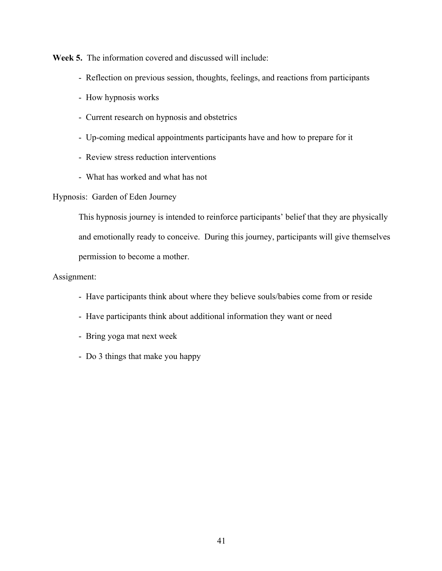**Week 5.** The information covered and discussed will include:

- Reflection on previous session, thoughts, feelings, and reactions from participants
- How hypnosis works
- Current research on hypnosis and obstetrics
- Up-coming medical appointments participants have and how to prepare for it
- Review stress reduction interventions
- What has worked and what has not

## Hypnosis: Garden of Eden Journey

This hypnosis journey is intended to reinforce participants' belief that they are physically and emotionally ready to conceive. During this journey, participants will give themselves permission to become a mother.

- Have participants think about where they believe souls/babies come from or reside
- Have participants think about additional information they want or need
- Bring yoga mat next week
- Do 3 things that make you happy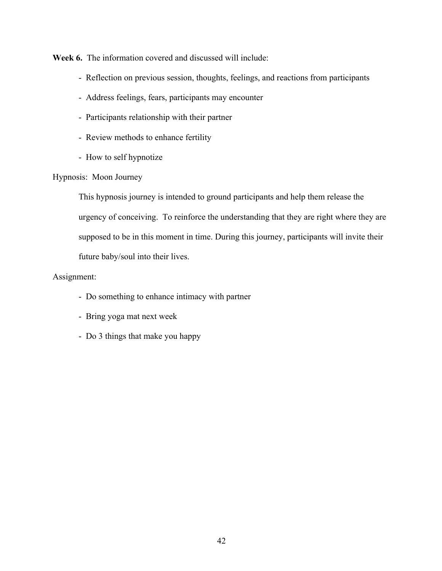**Week 6.** The information covered and discussed will include:

- Reflection on previous session, thoughts, feelings, and reactions from participants
- Address feelings, fears, participants may encounter
- Participants relationship with their partner
- Review methods to enhance fertility
- How to self hypnotize

# Hypnosis: Moon Journey

This hypnosis journey is intended to ground participants and help them release the urgency of conceiving. To reinforce the understanding that they are right where they are supposed to be in this moment in time. During this journey, participants will invite their future baby/soul into their lives.

- Do something to enhance intimacy with partner
- Bring yoga mat next week
- Do 3 things that make you happy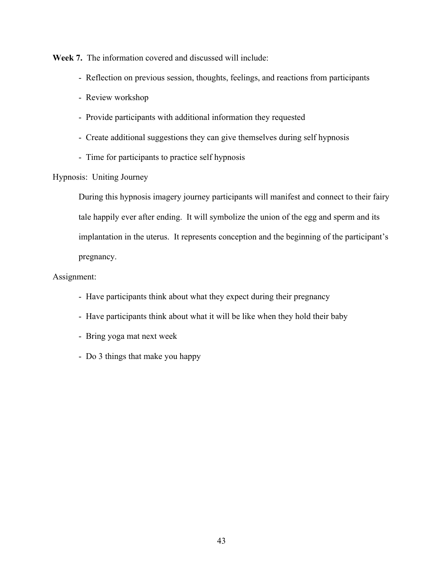**Week 7.** The information covered and discussed will include:

- Reflection on previous session, thoughts, feelings, and reactions from participants
- Review workshop
- Provide participants with additional information they requested
- Create additional suggestions they can give themselves during self hypnosis
- Time for participants to practice self hypnosis

# Hypnosis: Uniting Journey

During this hypnosis imagery journey participants will manifest and connect to their fairy tale happily ever after ending. It will symbolize the union of the egg and sperm and its implantation in the uterus. It represents conception and the beginning of the participant's pregnancy.

- Have participants think about what they expect during their pregnancy
- Have participants think about what it will be like when they hold their baby
- Bring yoga mat next week
- Do 3 things that make you happy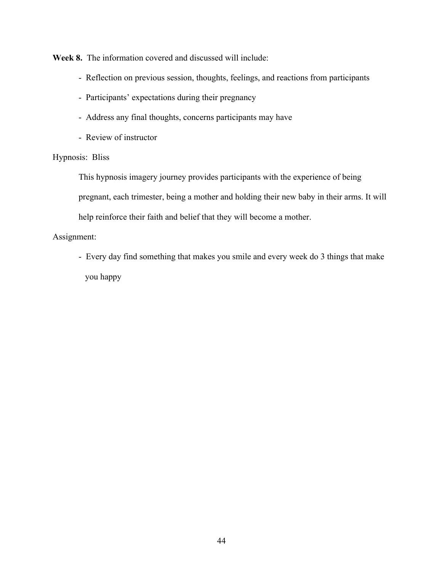**Week 8.** The information covered and discussed will include:

- Reflection on previous session, thoughts, feelings, and reactions from participants
- Participants' expectations during their pregnancy
- Address any final thoughts, concerns participants may have
- Review of instructor

# Hypnosis: Bliss

This hypnosis imagery journey provides participants with the experience of being pregnant, each trimester, being a mother and holding their new baby in their arms. It will help reinforce their faith and belief that they will become a mother.

# Assignment:

- Every day find something that makes you smile and every week do 3 things that make you happy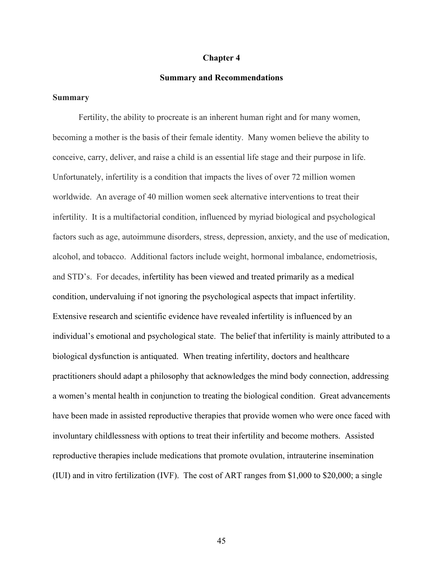#### **Chapter 4**

#### **Summary and Recommendations**

### **Summary**

Fertility, the ability to procreate is an inherent human right and for many women, becoming a mother is the basis of their female identity. Many women believe the ability to conceive, carry, deliver, and raise a child is an essential life stage and their purpose in life. Unfortunately, infertility is a condition that impacts the lives of over 72 million women worldwide. An average of 40 million women seek alternative interventions to treat their infertility. It is a multifactorial condition, influenced by myriad biological and psychological factors such as age, autoimmune disorders, stress, depression, anxiety, and the use of medication, alcohol, and tobacco. Additional factors include weight, hormonal imbalance, endometriosis, and STD's. For decades, infertility has been viewed and treated primarily as a medical condition, undervaluing if not ignoring the psychological aspects that impact infertility. Extensive research and scientific evidence have revealed infertility is influenced by an individual's emotional and psychological state. The belief that infertility is mainly attributed to a biological dysfunction is antiquated. When treating infertility, doctors and healthcare practitioners should adapt a philosophy that acknowledges the mind body connection, addressing a women's mental health in conjunction to treating the biological condition. Great advancements have been made in assisted reproductive therapies that provide women who were once faced with involuntary childlessness with options to treat their infertility and become mothers. Assisted reproductive therapies include medications that promote ovulation, intrauterine insemination (IUI) and in vitro fertilization (IVF). The cost of ART ranges from \$1,000 to \$20,000; a single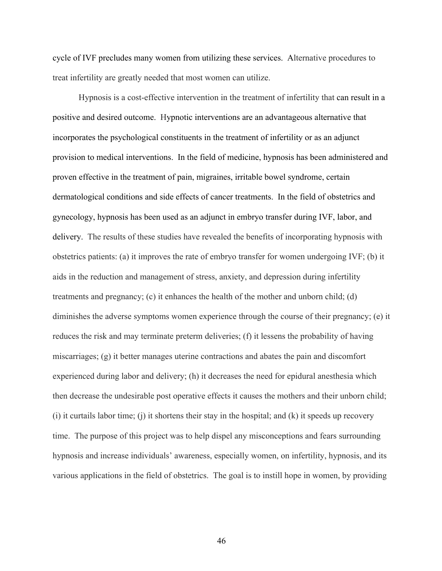cycle of IVF precludes many women from utilizing these services. Alternative procedures to treat infertility are greatly needed that most women can utilize.

Hypnosis is a cost-effective intervention in the treatment of infertility that can result in a positive and desired outcome. Hypnotic interventions are an advantageous alternative that incorporates the psychological constituents in the treatment of infertility or as an adjunct provision to medical interventions. In the field of medicine, hypnosis has been administered and proven effective in the treatment of pain, migraines, irritable bowel syndrome, certain dermatological conditions and side effects of cancer treatments. In the field of obstetrics and gynecology, hypnosis has been used as an adjunct in embryo transfer during IVF, labor, and delivery. The results of these studies have revealed the benefits of incorporating hypnosis with obstetrics patients: (a) it improves the rate of embryo transfer for women undergoing IVF; (b) it aids in the reduction and management of stress, anxiety, and depression during infertility treatments and pregnancy; (c) it enhances the health of the mother and unborn child; (d) diminishes the adverse symptoms women experience through the course of their pregnancy; (e) it reduces the risk and may terminate preterm deliveries; (f) it lessens the probability of having miscarriages; (g) it better manages uterine contractions and abates the pain and discomfort experienced during labor and delivery; (h) it decreases the need for epidural anesthesia which then decrease the undesirable post operative effects it causes the mothers and their unborn child; (i) it curtails labor time; (j) it shortens their stay in the hospital; and (k) it speeds up recovery time. The purpose of this project was to help dispel any misconceptions and fears surrounding hypnosis and increase individuals' awareness, especially women, on infertility, hypnosis, and its various applications in the field of obstetrics. The goal is to instill hope in women, by providing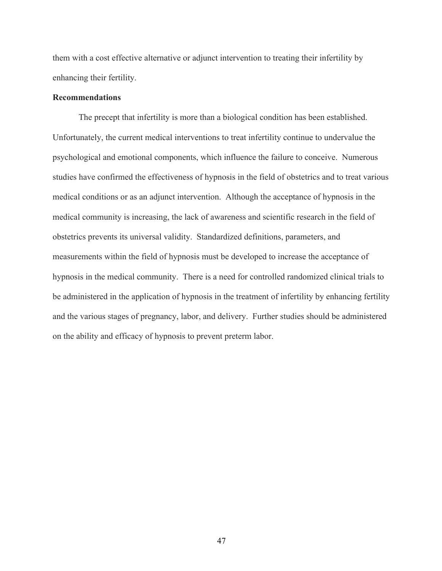them with a cost effective alternative or adjunct intervention to treating their infertility by enhancing their fertility.

# **Recommendations**

The precept that infertility is more than a biological condition has been established. Unfortunately, the current medical interventions to treat infertility continue to undervalue the psychological and emotional components, which influence the failure to conceive. Numerous studies have confirmed the effectiveness of hypnosis in the field of obstetrics and to treat various medical conditions or as an adjunct intervention. Although the acceptance of hypnosis in the medical community is increasing, the lack of awareness and scientific research in the field of obstetrics prevents its universal validity. Standardized definitions, parameters, and measurements within the field of hypnosis must be developed to increase the acceptance of hypnosis in the medical community. There is a need for controlled randomized clinical trials to be administered in the application of hypnosis in the treatment of infertility by enhancing fertility and the various stages of pregnancy, labor, and delivery. Further studies should be administered on the ability and efficacy of hypnosis to prevent preterm labor.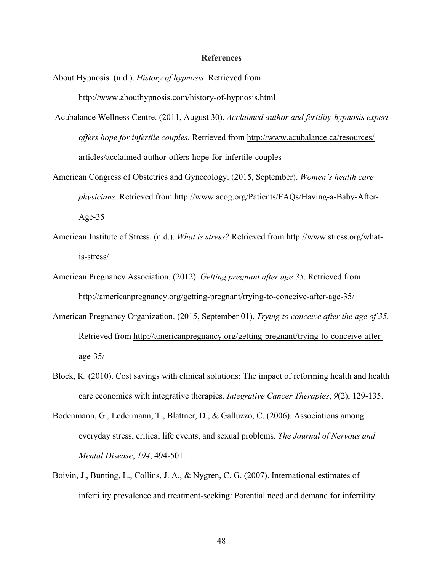#### **References**

- About Hypnosis. (n.d.). *History of hypnosis*. Retrieved from http://www.abouthypnosis.com/history-of-hypnosis.html
- Acubalance Wellness Centre. (2011, August 30). *Acclaimed author and fertility-hypnosis expert offers hope for infertile couples.* Retrieved from http://www.acubalance.ca/resources/ articles/acclaimed-author-offers-hope-for-infertile-couples
- American Congress of Obstetrics and Gynecology. (2015, September). *Women's health care physicians.* Retrieved from http://www.acog.org/Patients/FAQs/Having-a-Baby-After-Age-35
- American Institute of Stress. (n.d.). *What is stress?* Retrieved from http://www.stress.org/whatis-stress/
- American Pregnancy Association. (2012). *Getting pregnant after age 35*. Retrieved from http://americanpregnancy.org/getting-pregnant/trying-to-conceive-after-age-35/
- American Pregnancy Organization. (2015, September 01). *Trying to conceive after the age of 35.* Retrieved from http://americanpregnancy.org/getting-pregnant/trying-to-conceive-afterage-35/
- Block, K. (2010). Cost savings with clinical solutions: The impact of reforming health and health care economics with integrative therapies. *Integrative Cancer Therapies*, *9*(2), 129-135.
- Bodenmann, G., Ledermann, T., Blattner, D., & Galluzzo, C. (2006). Associations among everyday stress, critical life events, and sexual problems. *The Journal of Nervous and Mental Disease*, *194*, 494-501.
- Boivin, J., Bunting, L., Collins, J. A., & Nygren, C. G. (2007). International estimates of infertility prevalence and treatment-seeking: Potential need and demand for infertility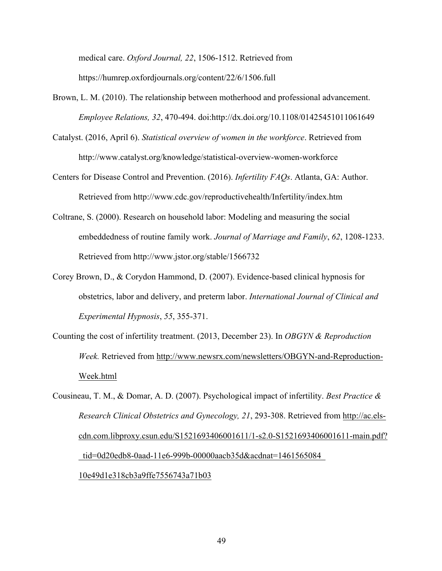medical care. *Oxford Journal, 22*, 1506-1512. Retrieved from https://humrep.oxfordjournals.org/content/22/6/1506.full

- Brown, L. M. (2010). The relationship between motherhood and professional advancement. *Employee Relations, 32*, 470-494. doi:http://dx.doi.org/10.1108/01425451011061649
- Catalyst. (2016, April 6). *Statistical overview of women in the workforce*. Retrieved from http://www.catalyst.org/knowledge/statistical-overview-women-workforce
- Centers for Disease Control and Prevention. (2016). *Infertility FAQs*. Atlanta, GA: Author. Retrieved from http://www.cdc.gov/reproductivehealth/Infertility/index.htm
- Coltrane, S. (2000). Research on household labor: Modeling and measuring the social embeddedness of routine family work. *Journal of Marriage and Family*, *62*, 1208-1233. Retrieved from http://www.jstor.org/stable/1566732
- Corey Brown, D., & Corydon Hammond, D. (2007). Evidence-based clinical hypnosis for obstetrics, labor and delivery, and preterm labor. *International Journal of Clinical and Experimental Hypnosis*, *55*, 355-371.
- Counting the cost of infertility treatment. (2013, December 23). In *OBGYN & Reproduction Week.* Retrieved from http://www.newsrx.com/newsletters/OBGYN-and-Reproduction-Week.html
- Cousineau, T. M., & Domar, A. D. (2007). Psychological impact of infertility. *Best Practice & Research Clinical Obstetrics and Gynecology, 21*, 293-308. Retrieved from http://ac.elscdn.com.libproxy.csun.edu/S1521693406001611/1-s2.0-S1521693406001611-main.pdf? \_tid=0d20edb8-0aad-11e6-999b-00000aacb35d&acdnat=1461565084\_ 10e49d1e318cb3a9ffe7556743a71b03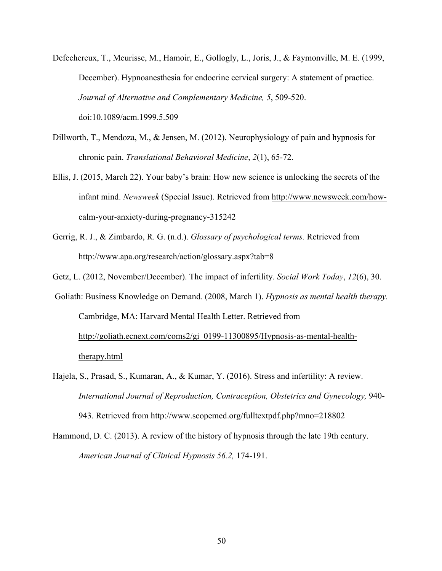- Defechereux, T., Meurisse, M., Hamoir, E., Gollogly, L., Joris, J., & Faymonville, M. E. (1999, December). Hypnoanesthesia for endocrine cervical surgery: A statement of practice. *Journal of Alternative and Complementary Medicine, 5*, 509-520. doi:10.1089/acm.1999.5.509
- Dillworth, T., Mendoza, M., & Jensen, M. (2012). Neurophysiology of pain and hypnosis for chronic pain. *Translational Behavioral Medicine*, *2*(1), 65-72.
- Ellis, J. (2015, March 22). Your baby's brain: How new science is unlocking the secrets of the infant mind. *Newsweek* (Special Issue). Retrieved from http://www.newsweek.com/howcalm-your-anxiety-during-pregnancy-315242
- Gerrig, R. J., & Zimbardo, R. G. (n.d.). *Glossary of psychological terms.* Retrieved from http://www.apa.org/research/action/glossary.aspx?tab=8
- Getz, L. (2012, November/December). The impact of infertility. *Social Work Today*, *12*(6), 30.
- Goliath: Business Knowledge on Demand*.* (2008, March 1). *Hypnosis as mental health therapy.* Cambridge, MA: Harvard Mental Health Letter. Retrieved from http://goliath.ecnext.com/coms2/gi\_0199-11300895/Hypnosis-as-mental-healththerapy.html
- Hajela, S., Prasad, S., Kumaran, A., & Kumar, Y. (2016). Stress and infertility: A review. *International Journal of Reproduction, Contraception, Obstetrics and Gynecology,* 940- 943. Retrieved from http://www.scopemed.org/fulltextpdf.php?mno=218802
- Hammond, D. C. (2013). A review of the history of hypnosis through the late 19th century. *American Journal of Clinical Hypnosis 56.2,* 174-191.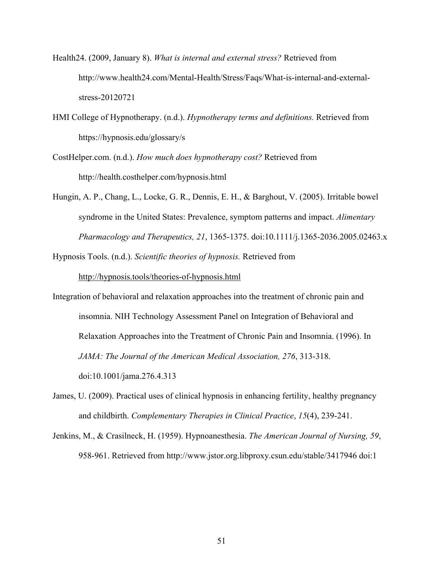- Health24. (2009, January 8). *What is internal and external stress?* Retrieved from http://www.health24.com/Mental-Health/Stress/Faqs/What-is-internal-and-externalstress-20120721
- HMI College of Hypnotherapy. (n.d.). *Hypnotherapy terms and definitions.* Retrieved from https://hypnosis.edu/glossary/s
- CostHelper.com. (n.d.). *How much does hypnotherapy cost?* Retrieved from http://health.costhelper.com/hypnosis.html
- Hungin, A. P., Chang, L., Locke, G. R., Dennis, E. H., & Barghout, V. (2005). Irritable bowel syndrome in the United States: Prevalence, symptom patterns and impact. *Alimentary Pharmacology and Therapeutics, 21*, 1365-1375. doi:10.1111/j.1365-2036.2005.02463.x
- Hypnosis Tools. (n.d.). *Scientific theories of hypnosis.* Retrieved from

http://hypnosis.tools/theories-of-hypnosis.html

- Integration of behavioral and relaxation approaches into the treatment of chronic pain and insomnia. NIH Technology Assessment Panel on Integration of Behavioral and Relaxation Approaches into the Treatment of Chronic Pain and Insomnia. (1996). In *JAMA: The Journal of the American Medical Association, 276*, 313-318. doi:10.1001/jama.276.4.313
- James, U. (2009). Practical uses of clinical hypnosis in enhancing fertility, healthy pregnancy and childbirth. *Complementary Therapies in Clinical Practice*, *15*(4), 239-241.
- Jenkins, M., & Crasilneck, H. (1959). Hypnoanesthesia. *The American Journal of Nursing, 59*, 958-961. Retrieved from http://www.jstor.org.libproxy.csun.edu/stable/3417946 doi:1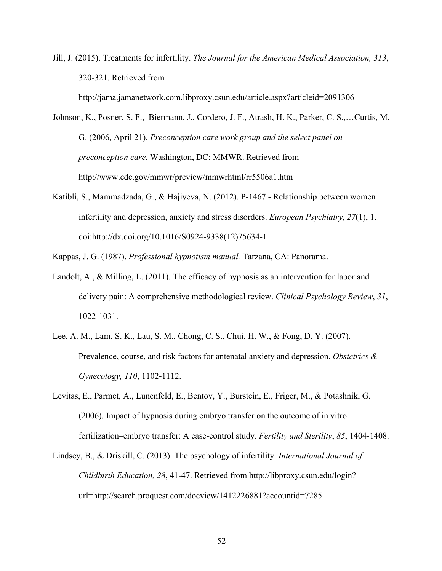Jill, J. (2015). Treatments for infertility. *The Journal for the American Medical Association, 313*, 320-321. Retrieved from

http://jama.jamanetwork.com.libproxy.csun.edu/article.aspx?articleid=2091306

- Johnson, K., Posner, S. F., Biermann, J., Cordero, J. F., Atrash, H. K., Parker, C. S.,…Curtis, M. G. (2006, April 21). *Preconception care work group and the select panel on preconception care.* Washington, DC: MMWR. Retrieved from http://www.cdc.gov/mmwr/preview/mmwrhtml/rr5506a1.htm
- Katibli, S., Mammadzada, G., & Hajiyeva, N. (2012). P-1467 Relationship between women infertility and depression, anxiety and stress disorders. *European Psychiatry*, *27*(1), 1. doi:http://dx.doi.org/10.1016/S0924-9338(12)75634-1

Kappas, J. G. (1987). *Professional hypnotism manual.* Tarzana, CA: Panorama.

- Landolt, A., & Milling, L. (2011). The efficacy of hypnosis as an intervention for labor and delivery pain: A comprehensive methodological review. *Clinical Psychology Review*, *31*, 1022-1031.
- Lee, A. M., Lam, S. K., Lau, S. M., Chong, C. S., Chui, H. W., & Fong, D. Y. (2007). Prevalence, course, and risk factors for antenatal anxiety and depression. *Obstetrics & Gynecology, 110*, 1102-1112.
- Levitas, E., Parmet, A., Lunenfeld, E., Bentov, Y., Burstein, E., Friger, M., & Potashnik, G. (2006). Impact of hypnosis during embryo transfer on the outcome of in vitro fertilization–embryo transfer: A case-control study. *Fertility and Sterility*, *85*, 1404-1408.
- Lindsey, B., & Driskill, C. (2013). The psychology of infertility. *International Journal of Childbirth Education, 28*, 41-47. Retrieved from http://libproxy.csun.edu/login? url=http://search.proquest.com/docview/1412226881?accountid=7285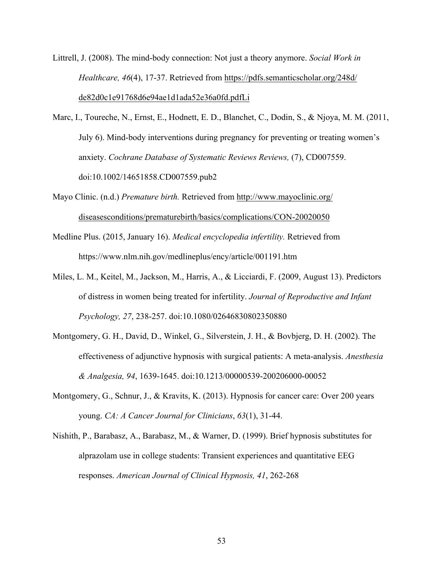- Littrell, J. (2008). The mind-body connection: Not just a theory anymore. *Social Work in Healthcare, 46*(4), 17-37. Retrieved from https://pdfs.semanticscholar.org/248d/ de82d0c1e91768d6e94ae1d1ada52e36a0fd.pdfLi
- Marc, I., Toureche, N., Ernst, E., Hodnett, E. D., Blanchet, C., Dodin, S., & Njoya, M. M. (2011, July 6). Mind-body interventions during pregnancy for preventing or treating women's anxiety. *Cochrane Database of Systematic Reviews Reviews,* (7), CD007559. doi:10.1002/14651858.CD007559.pub2
- Mayo Clinic. (n.d.) *Premature birth.* Retrieved from http://www.mayoclinic.org/ diseasesconditions/prematurebirth/basics/complications/CON-20020050
- Medline Plus. (2015, January 16). *Medical encyclopedia infertility.* Retrieved from https://www.nlm.nih.gov/medlineplus/ency/article/001191.htm
- Miles, L. M., Keitel, M., Jackson, M., Harris, A., & Licciardi, F. (2009, August 13). Predictors of distress in women being treated for infertility. *Journal of Reproductive and Infant Psychology, 27*, 238-257. doi:10.1080/02646830802350880
- Montgomery, G. H., David, D., Winkel, G., Silverstein, J. H., & Bovbjerg, D. H. (2002). The effectiveness of adjunctive hypnosis with surgical patients: A meta-analysis. *Anesthesia & Analgesia, 94*, 1639-1645. doi:10.1213/00000539-200206000-00052
- Montgomery, G., Schnur, J., & Kravits, K. (2013). Hypnosis for cancer care: Over 200 years young. *CA: A Cancer Journal for Clinicians*, *63*(1), 31-44.
- Nishith, P., Barabasz, A., Barabasz, M., & Warner, D. (1999). Brief hypnosis substitutes for alprazolam use in college students: Transient experiences and quantitative EEG responses. *American Journal of Clinical Hypnosis, 41*, 262-268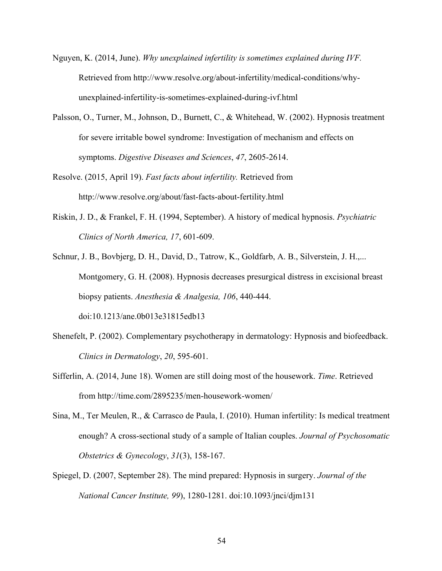- Nguyen, K. (2014, June). *Why unexplained infertility is sometimes explained during IVF.* Retrieved from http://www.resolve.org/about-infertility/medical-conditions/whyunexplained-infertility-is-sometimes-explained-during-ivf.html
- Palsson, O., Turner, M., Johnson, D., Burnett, C., & Whitehead, W. (2002). Hypnosis treatment for severe irritable bowel syndrome: Investigation of mechanism and effects on symptoms. *Digestive Diseases and Sciences*, *47*, 2605-2614.
- Resolve. (2015, April 19). *Fast facts about infertility.* Retrieved from http://www.resolve.org/about/fast-facts-about-fertility.html
- Riskin, J. D., & Frankel, F. H. (1994, September). A history of medical hypnosis. *Psychiatric Clinics of North America, 17*, 601-609.
- Schnur, J. B., Bovbjerg, D. H., David, D., Tatrow, K., Goldfarb, A. B., Silverstein, J. H.,... Montgomery, G. H. (2008). Hypnosis decreases presurgical distress in excisional breast biopsy patients. *Anesthesia & Analgesia, 106*, 440-444. doi:10.1213/ane.0b013e31815edb13
- Shenefelt, P. (2002). Complementary psychotherapy in dermatology: Hypnosis and biofeedback. *Clinics in Dermatology*, *20*, 595-601.
- Sifferlin, A. (2014, June 18). Women are still doing most of the housework. *Time*. Retrieved from http://time.com/2895235/men-housework-women/
- Sina, M., Ter Meulen, R., & Carrasco de Paula, I. (2010). Human infertility: Is medical treatment enough? A cross-sectional study of a sample of Italian couples. *Journal of Psychosomatic Obstetrics & Gynecology*, *31*(3), 158-167.
- Spiegel, D. (2007, September 28). The mind prepared: Hypnosis in surgery. *Journal of the National Cancer Institute, 99*), 1280-1281. doi:10.1093/jnci/djm131